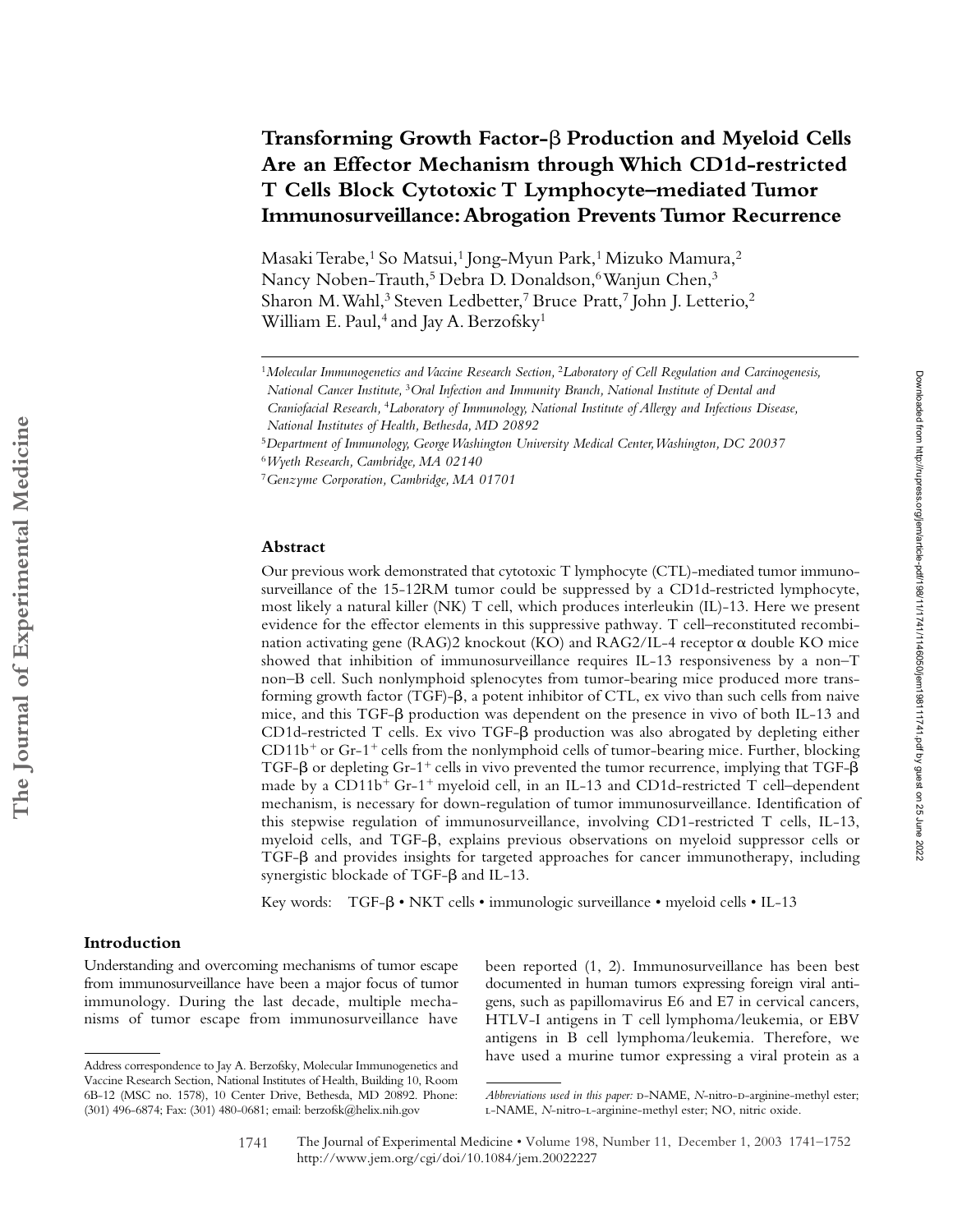# Transforming Growth Factor- $\beta$  Production and Myeloid Cells **Are an Effector Mechanism through Which CD1d-restricted T Cells Block Cytotoxic T Lymphocyte–mediated Tumor Immunosurveillance: Abrogation Prevents Tumor Recurrence**

Masaki Terabe,<sup>1</sup> So Matsui,<sup>1</sup> Jong-Myun Park,<sup>1</sup> Mizuko Mamura,<sup>2</sup> Nancy Noben-Trauth,<sup>5</sup> Debra D. Donaldson,<sup>6</sup> Wanjun Chen,<sup>3</sup> Sharon M. Wahl,<sup>3</sup> Steven Ledbetter,<sup>7</sup> Bruce Pratt,<sup>7</sup> John J. Letterio,<sup>2</sup> William E. Paul,<sup>4</sup> and Jay A. Berzofsky<sup>1</sup>

#### **Abstract**

Our previous work demonstrated that cytotoxic T lymphocyte (CTL)-mediated tumor immunosurveillance of the 15-12RM tumor could be suppressed by a CD1d-restricted lymphocyte, most likely a natural killer (NK) T cell, which produces interleukin (IL)-13. Here we present evidence for the effector elements in this suppressive pathway. T cell–reconstituted recombination activating gene (RAG)2 knockout (KO) and RAG2/IL-4 receptor  $\alpha$  double KO mice showed that inhibition of immunosurveillance requires IL-13 responsiveness by a non–T non–B cell. Such nonlymphoid splenocytes from tumor-bearing mice produced more transforming growth factor (TGF)- $\beta$ , a potent inhibitor of CTL, ex vivo than such cells from naive mice, and this TGF- $\beta$  production was dependent on the presence in vivo of both IL-13 and CD1d-restricted T cells. Ex vivo TGF-B production was also abrogated by depleting either  $CD11b<sup>+</sup>$  or Gr-1<sup>+</sup> cells from the nonlymphoid cells of tumor-bearing mice. Further, blocking TGF- $\beta$  or depleting Gr-1<sup>+</sup> cells in vivo prevented the tumor recurrence, implying that TGF- $\beta$ made by a  $CD11b^+$  Gr-1<sup>+</sup> myeloid cell, in an IL-13 and CD1d-restricted T cell–dependent mechanism, is necessary for down-regulation of tumor immunosurveillance. Identification of this stepwise regulation of immunosurveillance, involving CD1-restricted T cells, IL-13, myeloid cells, and TGF- $\beta$ , explains previous observations on myeloid suppressor cells or TGF- $\beta$  and provides insights for targeted approaches for cancer immunotherapy, including synergistic blockade of  $TGF-\beta$  and IL-13.

Key words: TGF- $\beta \cdot NKT$  cells  $\cdot$  immunologic surveillance  $\cdot$  myeloid cells  $\cdot$  IL-13

# **Introduction**

Understanding and overcoming mechanisms of tumor escape from immunosurveillance have been a major focus of tumor immunology. During the last decade, multiple mechanisms of tumor escape from immunosurveillance have

been reported (1, 2). Immunosurveillance has been best documented in human tumors expressing foreign viral antigens, such as papillomavirus E6 and E7 in cervical cancers, HTLV-I antigens in T cell lymphoma/leukemia, or EBV antigens in B cell lymphoma/leukemia. Therefore, we have used a murine tumor expressing a viral protein as a Address correspondence to Jay A. Berzofsky, Molecular Immunogenetics and

<sup>1</sup>*Molecular Immunogenetics and Vaccine Research Section,* <sup>2</sup>*Laboratory of Cell Regulation and Carcinogenesis,* 

*National Cancer Institute,* <sup>3</sup>*Oral Infection and Immunity Branch, National Institute of Dental and Craniofacial Research,* <sup>4</sup>*Laboratory of Immunology, National Institute of Allergy and Infectious Disease,* 

*National Institutes of Health, Bethesda, MD 20892*

<sup>5</sup>*Department of Immunology, George Washington University Medical Center, Washington, DC 20037*

<sup>6</sup>*Wyeth Research, Cambridge, MA 02140*

<sup>7</sup>*Genzyme Corporation, Cambridge, MA 01701*

Vaccine Research Section, National Institutes of Health, Building 10, Room 6B-12 (MSC no. 1578), 10 Center Drive, Bethesda, MD 20892. Phone: (301) 496-6874; Fax: (301) 480-0681; email: berzofsk@helix.nih.gov

*Abbreviations used in this paper:* D-NAME, *N*-nitro-D-arginine-methyl ester; l-NAME, *N*-nitro-l-arginine-methyl ester; NO, nitric oxide.

The Journal of Experimental Medicine • Volume 198, Number 11, December 1, 2003 1741–1752 http://www.jem.org/cgi/doi/10.1084/jem.20022227 1741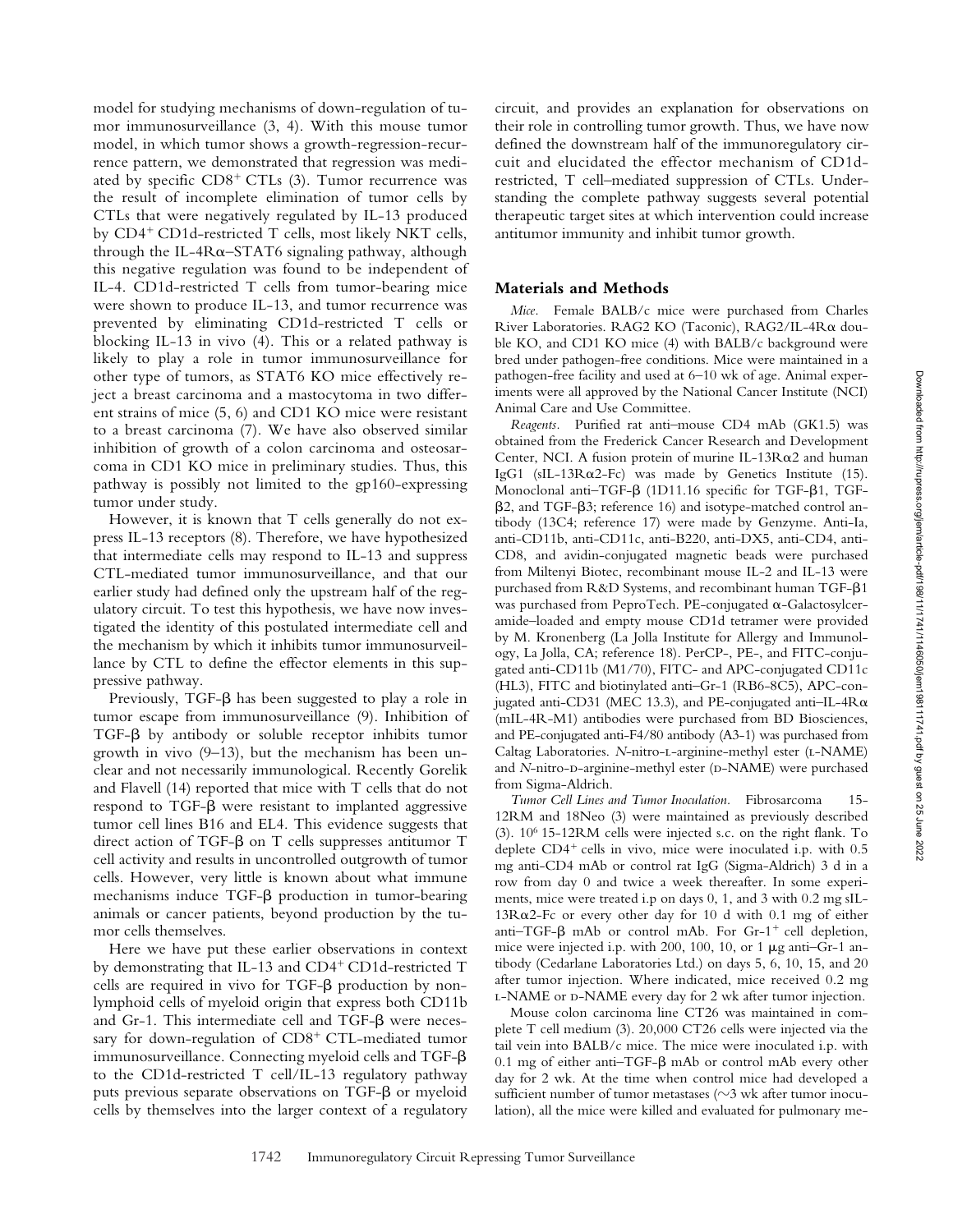model for studying mechanisms of down-regulation of tumor immunosurveillance (3, 4). With this mouse tumor model, in which tumor shows a growth-regression-recurrence pattern, we demonstrated that regression was mediated by specific  $CD8<sup>+</sup> CTLs$  (3). Tumor recurrence was the result of incomplete elimination of tumor cells by CTLs that were negatively regulated by IL-13 produced by  $CD4^+$  CD1d-restricted T cells, most likely NKT cells, through the IL-4R $\alpha$ –STAT6 signaling pathway, although this negative regulation was found to be independent of IL-4. CD1d-restricted T cells from tumor-bearing mice were shown to produce IL-13, and tumor recurrence was prevented by eliminating CD1d-restricted T cells or blocking IL-13 in vivo (4). This or a related pathway is likely to play a role in tumor immunosurveillance for other type of tumors, as STAT6 KO mice effectively reject a breast carcinoma and a mastocytoma in two different strains of mice (5, 6) and CD1 KO mice were resistant to a breast carcinoma (7). We have also observed similar inhibition of growth of a colon carcinoma and osteosarcoma in CD1 KO mice in preliminary studies. Thus, this pathway is possibly not limited to the gp160-expressing tumor under study.

However, it is known that T cells generally do not express IL-13 receptors (8). Therefore, we have hypothesized that intermediate cells may respond to IL-13 and suppress CTL-mediated tumor immunosurveillance, and that our earlier study had defined only the upstream half of the regulatory circuit. To test this hypothesis, we have now investigated the identity of this postulated intermediate cell and the mechanism by which it inhibits tumor immunosurveillance by CTL to define the effector elements in this suppressive pathway.

Previously, TGF- $\beta$  has been suggested to play a role in tumor escape from immunosurveillance (9). Inhibition of TGF- $\beta$  by antibody or soluble receptor inhibits tumor growth in vivo (9–13), but the mechanism has been unclear and not necessarily immunological. Recently Gorelik and Flavell (14) reported that mice with T cells that do not  $r$ espond to TGF- $\beta$  were resistant to implanted aggressive tumor cell lines B16 and EL4. This evidence suggests that direct action of TGF- $\beta$  on T cells suppresses antitumor T cell activity and results in uncontrolled outgrowth of tumor cells. However, very little is known about what immune  $m$ echanisms induce TGF- $\beta$  production in tumor-bearing animals or cancer patients, beyond production by the tumor cells themselves.

Here we have put these earlier observations in context by demonstrating that IL-13 and  $CD4^+$  CD1d-restricted T cells are required in vivo for TGF- $\beta$  production by nonlymphoid cells of myeloid origin that express both CD11b and Gr-1. This intermediate cell and  $TGF-\beta$  were necessary for down-regulation of  $CD8<sup>+</sup> CTL-mediated tumor$ immunosurveillance. Connecting myeloid cells and  $TGF-\beta$ to the CD1d-restricted T cell/IL-13 regulatory pathway puts previous separate observations on  $TGF-\beta$  or myeloid cells by themselves into the larger context of a regulatory

circuit, and provides an explanation for observations on their role in controlling tumor growth. Thus, we have now defined the downstream half of the immunoregulatory circuit and elucidated the effector mechanism of CD1drestricted, T cell–mediated suppression of CTLs. Understanding the complete pathway suggests several potential therapeutic target sites at which intervention could increase antitumor immunity and inhibit tumor growth.

## **Materials and Methods**

*Mice.* Female BALB/c mice were purchased from Charles River Laboratories. RAG2 KO (Taconic), RAG2/IL-4R double KO, and CD1 KO mice (4) with BALB/c background were bred under pathogen-free conditions. Mice were maintained in a pathogen-free facility and used at 6–10 wk of age. Animal experiments were all approved by the National Cancer Institute (NCI) Animal Care and Use Committee.

*Reagents.* Purified rat anti–mouse CD4 mAb (GK1.5) was obtained from the Frederick Cancer Research and Development Center, NCI. A fusion protein of murine IL-13R $\alpha$ 2 and human IgG1 (sIL-13R $\alpha$ 2-Fc) was made by Genetics Institute (15). Monoclonal anti-TGF- $\beta$  (1D11.16 specific for TGF- $\beta$ 1, TGFβ2, and TGF-β3; reference 16) and isotype-matched control antibody (13C4; reference 17) were made by Genzyme. Anti-Ia, anti-CD11b, anti-CD11c, anti-B220, anti-DX5, anti-CD4, anti-CD8, and avidin-conjugated magnetic beads were purchased from Miltenyi Biotec, recombinant mouse IL-2 and IL-13 were purchased from R&D Systems, and recombinant human TGF- $\beta$ 1 was purchased from PeproTech. PE-conjugated  $\alpha$ -Galactosylceramide–loaded and empty mouse CD1d tetramer were provided by M. Kronenberg (La Jolla Institute for Allergy and Immunology, La Jolla, CA; reference 18). PerCP-, PE-, and FITC-conjugated anti-CD11b (M1/70), FITC- and APC-conjugated CD11c (HL3), FITC and biotinylated anti–Gr-1 (RB6-8C5), APC-conjugated anti-CD31 (MEC 13.3), and PE-conjugated anti-IL-4R $\alpha$ (mIL-4R-M1) antibodies were purchased from BD Biosciences, and PE-conjugated anti-F4/80 antibody (A3-1) was purchased from Caltag Laboratories. *N*-nitro-L-arginine-methyl ester (L-NAME) and *N*-nitro-D-arginine-methyl ester (D-NAME) were purchased from Sigma-Aldrich.

*Tumor Cell Lines and Tumor Inoculation.* Fibrosarcoma 15- 12RM and 18Neo (3) were maintained as previously described (3).  $10^6$  15-12RM cells were injected s.c. on the right flank. To deplete  $CD4^+$  cells in vivo, mice were inoculated i.p. with  $0.5$ mg anti-CD4 mAb or control rat IgG (Sigma-Aldrich) 3 d in a row from day 0 and twice a week thereafter. In some experiments, mice were treated i.p on days 0, 1, and 3 with 0.2 mg sIL- $13R\alpha$ 2-Fc or every other day for 10 d with 0.1 mg of either anti-TGF- $\beta$  mAb or control mAb. For Gr-1<sup>+</sup> cell depletion, mice were injected i.p. with 200, 100, 10, or 1  $\mu$ g anti-Gr-1 antibody (Cedarlane Laboratories Ltd.) on days 5, 6, 10, 15, and 20 after tumor injection. Where indicated, mice received 0.2 mg L-NAME or D-NAME every day for 2 wk after tumor injection.

Mouse colon carcinoma line CT26 was maintained in complete T cell medium (3). 20,000 CT26 cells were injected via the tail vein into BALB/c mice. The mice were inoculated i.p. with 0.1 mg of either anti-TGF- $\beta$  mAb or control mAb every other day for 2 wk. At the time when control mice had developed a sufficient number of tumor metastases ( $\sim$ 3 wk after tumor inoculation), all the mice were killed and evaluated for pulmonary me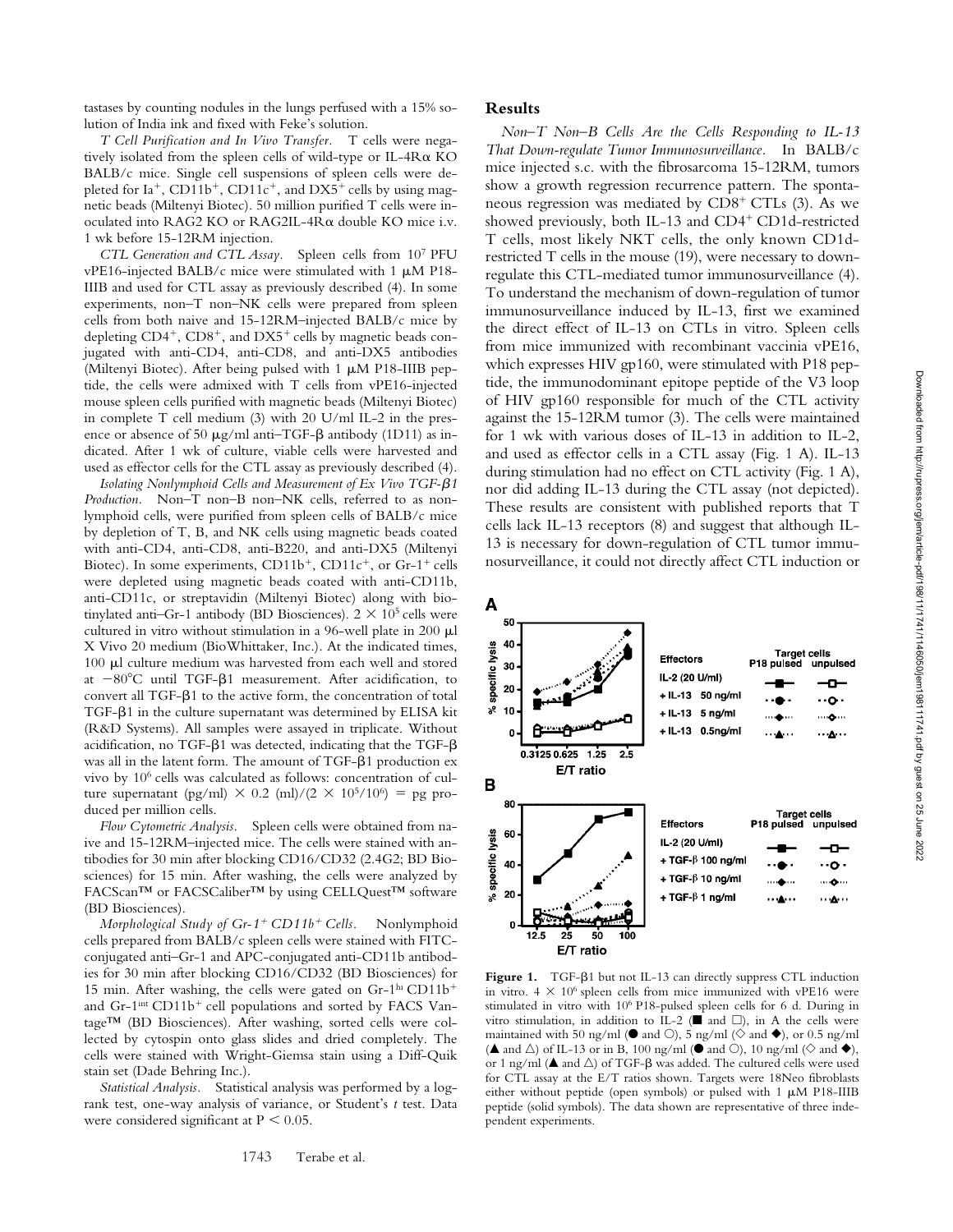tastases by counting nodules in the lungs perfused with a 15% solution of India ink and fixed with Feke's solution.

*T Cell Purification and In Vivo Transfer.* T cells were negatively isolated from the spleen cells of wild-type or IL-4R $\alpha$  KO BALB/c mice. Single cell suspensions of spleen cells were depleted for  $Ia^+$ , CD11b<sup>+</sup>, CD11c<sup>+</sup>, and DX5<sup>+</sup> cells by using magnetic beads (Miltenyi Biotec). 50 million purified T cells were inoculated into RAG2 KO or RAG2IL-4R $\alpha$  double KO mice i.v. 1 wk before 15-12RM injection.

*CTL Generation and CTL Assay.* Spleen cells from 107 PFU vPE16-injected BALB/c mice were stimulated with 1  $\mu$ M P18-IIIB and used for CTL assay as previously described (4). In some experiments, non–T non–NK cells were prepared from spleen cells from both naive and 15-12RM–injected BALB/c mice by depleting  $CD4^+$ ,  $CD8^+$ , and  $DX5^+$  cells by magnetic beads conjugated with anti-CD4, anti-CD8, and anti-DX5 antibodies (Miltenyi Biotec). After being pulsed with 1  $\mu$ M P18-IIIB peptide, the cells were admixed with T cells from vPE16-injected mouse spleen cells purified with magnetic beads (Miltenyi Biotec) in complete T cell medium (3) with 20 U/ml IL-2 in the presence or absence of 50  $\mu$ g/ml anti–TGF- $\beta$  antibody (1D11) as indicated. After 1 wk of culture, viable cells were harvested and used as effector cells for the CTL assay as previously described (4).

Isolating Nonlymphoid Cells and Measurement of Ex Vivo TGF- $\beta$ 1 *Production.* Non–T non–B non–NK cells, referred to as nonlymphoid cells, were purified from spleen cells of BALB/c mice by depletion of T, B, and NK cells using magnetic beads coated with anti-CD4, anti-CD8, anti-B220, and anti-DX5 (Miltenyi Biotec). In some experiments,  $CD11b^{+}$ ,  $CD11c^{+}$ , or  $Gr-1^{+}$  cells were depleted using magnetic beads coated with anti-CD11b, anti-CD11c, or streptavidin (Miltenyi Biotec) along with biotinylated anti-Gr-1 antibody (BD Biosciences).  $2 \times 10^5$  cells were cultured in vitro without stimulation in a 96-well plate in 200  $\mu$ l X Vivo 20 medium (BioWhittaker, Inc.). At the indicated times, 100  $\mu$ l culture medium was harvested from each well and stored at  $-80^{\circ}$ C until TGF- $\beta$ 1 measurement. After acidification, to convert all TGF- $\beta$ 1 to the active form, the concentration of total TGF- $\beta$ 1 in the culture supernatant was determined by ELISA kit (R&D Systems). All samples were assayed in triplicate. Without acidification, no TGF- $\beta$ 1 was detected, indicating that the TGF- $\beta$ was all in the latent form. The amount of TGF- $\beta$ 1 production ex vivo by 106 cells was calculated as follows: concentration of culture supernatant (pg/ml)  $\times$  0.2 (ml)/(2  $\times$  10<sup>5</sup>/10<sup>6</sup>) = pg produced per million cells.

*Flow Cytometric Analysis.* Spleen cells were obtained from naive and 15-12RM–injected mice. The cells were stained with antibodies for 30 min after blocking CD16/CD32 (2.4G2; BD Biosciences) for 15 min. After washing, the cells were analyzed by FACScan™ or FACSCaliber™ by using CELLQuest™ software (BD Biosciences).

*Morphological Study of Gr-1<sup>+</sup> CD11b<sup>+</sup> Cells.* Nonlymphoid cells prepared from BALB/c spleen cells were stained with FITCconjugated anti–Gr-1 and APC-conjugated anti-CD11b antibodies for 30 min after blocking CD16/CD32 (BD Biosciences) for 15 min. After washing, the cells were gated on  $Gr-1<sup>hi</sup> CD11b<sup>+</sup>$ and  $Gr-1<sup>int</sup> CD11b<sup>+</sup>$  cell populations and sorted by FACS Vantage™ (BD Biosciences). After washing, sorted cells were collected by cytospin onto glass slides and dried completely. The cells were stained with Wright-Giemsa stain using a Diff-Quik stain set (Dade Behring Inc.).

*Statistical Analysis.* Statistical analysis was performed by a logrank test, one-way analysis of variance, or Student's *t* test. Data were considered significant at  $P < 0.05$ .

## **Results**

*Non–T Non–B Cells Are the Cells Responding to IL-13 That Down-regulate Tumor Immunosurveillance.* In BALB/c mice injected s.c. with the fibrosarcoma 15-12RM, tumors show a growth regression recurrence pattern. The spontaneous regression was mediated by  $CDS^+$  CTLs (3). As we showed previously, both IL-13 and  $CD4^+$  CD1d-restricted T cells, most likely NKT cells, the only known CD1drestricted T cells in the mouse (19), were necessary to downregulate this CTL-mediated tumor immunosurveillance (4). To understand the mechanism of down-regulation of tumor immunosurveillance induced by IL-13, first we examined the direct effect of IL-13 on CTLs in vitro. Spleen cells from mice immunized with recombinant vaccinia vPE16, which expresses HIV gp160, were stimulated with P18 peptide, the immunodominant epitope peptide of the V3 loop of HIV gp160 responsible for much of the CTL activity against the 15-12RM tumor (3). The cells were maintained for 1 wk with various doses of IL-13 in addition to IL-2, and used as effector cells in a CTL assay (Fig. 1 A). IL-13 during stimulation had no effect on CTL activity (Fig. 1 A), nor did adding IL-13 during the CTL assay (not depicted). These results are consistent with published reports that T cells lack IL-13 receptors (8) and suggest that although IL-13 is necessary for down-regulation of CTL tumor immunosurveillance, it could not directly affect CTL induction or



Figure 1. TGF- $\beta$ 1 but not IL-13 can directly suppress CTL induction in vitro.  $4 \times 10^6$  spleen cells from mice immunized with vPE16 were stimulated in vitro with 106 P18-pulsed spleen cells for 6 d. During in vitro stimulation, in addition to IL-2 ( $\blacksquare$  and  $\square$ ), in A the cells were maintained with 50 ng/ml ( $\bullet$  and  $\circ$ ), 5 ng/ml ( $\diamond$  and  $\bullet$ ), or 0.5 ng/ml ( $\blacktriangle$  and  $\triangle$ ) of IL-13 or in B, 100 ng/ml ( $\blacktriangledown$  and  $\heartsuit$ ), 10 ng/ml ( $\diamondsuit$  and  $\blacktriangledown$ ), or 1 ng/ml ( $\blacktriangle$  and  $\triangle$ ) of TGF- $\beta$  was added. The cultured cells were used for CTL assay at the E/T ratios shown. Targets were 18Neo fibroblasts either without peptide (open symbols) or pulsed with  $1 \mu M$  P18-IIIB peptide (solid symbols). The data shown are representative of three independent experiments.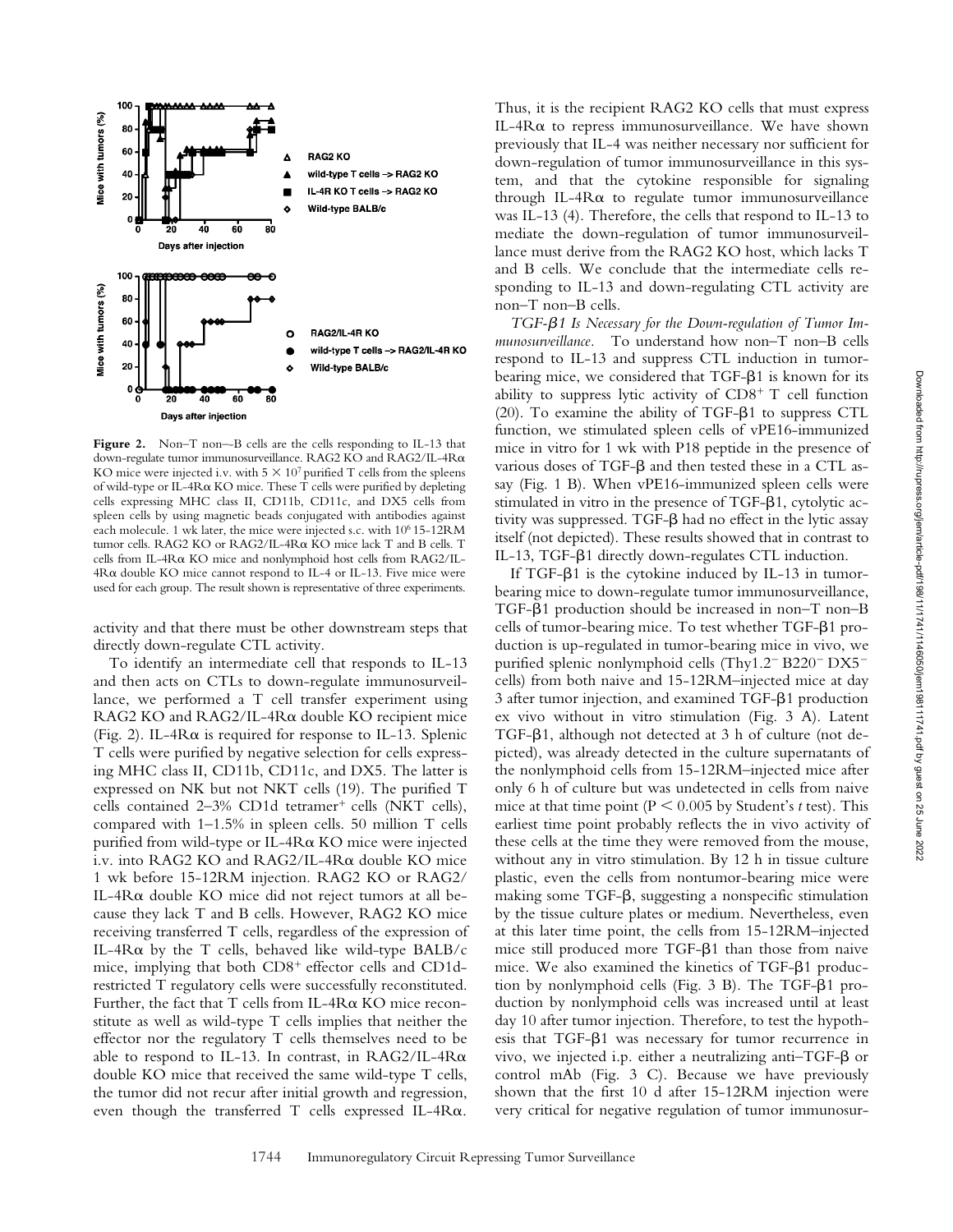

Figure 2. Non–T non–-B cells are the cells responding to IL-13 that down-regulate tumor immunosurveillance. RAG2 KO and RAG2/IL-4R KO mice were injected i.v. with  $5 \times 10^7$  purified T cells from the spleens of wild-type or IL-4R $\alpha$  KO mice. These T cells were purified by depleting cells expressing MHC class II, CD11b, CD11c, and DX5 cells from spleen cells by using magnetic beads conjugated with antibodies against each molecule. 1 wk later, the mice were injected s.c. with 106 15-12RM tumor cells. RAG2 KO or RAG2/IL-4Rα KO mice lack T and B cells. T cells from IL-4R $\alpha$  KO mice and nonlymphoid host cells from RAG2/IL- $4R\alpha$  double KO mice cannot respond to IL-4 or IL-13. Five mice were used for each group. The result shown is representative of three experiments.

activity and that there must be other downstream steps that directly down-regulate CTL activity.

To identify an intermediate cell that responds to IL-13 and then acts on CTLs to down-regulate immunosurveillance, we performed a T cell transfer experiment using RAG2 KO and RAG2/IL-4Rα double KO recipient mice (Fig. 2). IL-4R $\alpha$  is required for response to IL-13. Splenic T cells were purified by negative selection for cells expressing MHC class II, CD11b, CD11c, and DX5. The latter is expressed on NK but not NKT cells (19). The purified T cells contained  $2-3\%$  CD1d tetramer<sup>+</sup> cells (NKT cells), compared with 1–1.5% in spleen cells. 50 million T cells purified from wild-type or IL-4R $\alpha$  KO mice were injected i.v. into RAG2 KO and RAG2/IL-4 $R\alpha$  double KO mice 1 wk before 15-12RM injection. RAG2 KO or RAG2/ IL-4R $\alpha$  double KO mice did not reject tumors at all because they lack T and B cells. However, RAG2 KO mice receiving transferred T cells, regardless of the expression of IL-4R $\alpha$  by the T cells, behaved like wild-type BALB/c mice, implying that both  $CD8<sup>+</sup>$  effector cells and CD1drestricted T regulatory cells were successfully reconstituted. Further, the fact that T cells from IL-4R $\alpha$  KO mice reconstitute as well as wild-type T cells implies that neither the effector nor the regulatory T cells themselves need to be able to respond to IL-13. In contrast, in RAG2/IL-4R $\alpha$ double KO mice that received the same wild-type T cells, the tumor did not recur after initial growth and regression, even though the transferred T cells expressed IL-4R $\alpha$ .

Thus, it is the recipient RAG2 KO cells that must express IL-4 $R\alpha$  to repress immunosurveillance. We have shown previously that IL-4 was neither necessary nor sufficient for down-regulation of tumor immunosurveillance in this system, and that the cytokine responsible for signaling through IL-4R $\alpha$  to regulate tumor immunosurveillance was IL-13 (4). Therefore, the cells that respond to IL-13 to mediate the down-regulation of tumor immunosurveillance must derive from the RAG2 KO host, which lacks T and B cells. We conclude that the intermediate cells responding to IL-13 and down-regulating CTL activity are non–T non–B cells.

TGF- $\beta$ 1 Is Necessary for the Down-regulation of Tumor Im*munosurveillance.* To understand how non–T non–B cells respond to IL-13 and suppress CTL induction in tumorbearing mice, we considered that TGF- $\beta$ 1 is known for its ability to suppress lytic activity of  $CD8<sup>+</sup>$  T cell function (20). To examine the ability of TGF- $\beta$ 1 to suppress CTL function, we stimulated spleen cells of vPE16-immunized mice in vitro for 1 wk with P18 peptide in the presence of various doses of TGF- $\beta$  and then tested these in a CTL assay (Fig. 1 B). When vPE16-immunized spleen cells were stimulated in vitro in the presence of  $TGF- $\beta$ 1, cytolytic ac$ tivity was suppressed. TGF- $\beta$  had no effect in the lytic assay itself (not depicted). These results showed that in contrast to IL-13, TGF-β1 directly down-regulates CTL induction.

If TGF- $\beta$ 1 is the cytokine induced by IL-13 in tumorbearing mice to down-regulate tumor immunosurveillance, TGF- $\beta$ 1 production should be increased in non–T non–B cells of tumor-bearing mice. To test whether TGF-81 production is up-regulated in tumor-bearing mice in vivo, we purified splenic nonlymphoid cells (Thy $1.2^-$  B220<sup>-</sup> DX5<sup>-</sup> cells) from both naive and 15-12RM–injected mice at day 3 after tumor injection, and examined TGF- $\beta$ 1 production ex vivo without in vitro stimulation (Fig. 3 A). Latent TGF- $\beta$ 1, although not detected at 3 h of culture (not depicted), was already detected in the culture supernatants of the nonlymphoid cells from 15-12RM–injected mice after only 6 h of culture but was undetected in cells from naive mice at that time point ( $P < 0.005$  by Student's *t* test). This earliest time point probably reflects the in vivo activity of these cells at the time they were removed from the mouse, without any in vitro stimulation. By 12 h in tissue culture plastic, even the cells from nontumor-bearing mice were making some TGF- $\beta$ , suggesting a nonspecific stimulation by the tissue culture plates or medium. Nevertheless, even at this later time point, the cells from 15-12RM–injected mice still produced more  $TGF- $\beta$ 1 than those from naive$ mice. We also examined the kinetics of TGF-81 production by nonlymphoid cells (Fig.  $3$  B). The TGF- $\beta$ 1 production by nonlymphoid cells was increased until at least day 10 after tumor injection. Therefore, to test the hypothesis that TGF- $\beta$ 1 was necessary for tumor recurrence in vivo, we injected i.p. either a neutralizing anti-TGF- $\beta$  or control mAb (Fig. 3 C). Because we have previously shown that the first 10 d after 15-12RM injection were very critical for negative regulation of tumor immunosur-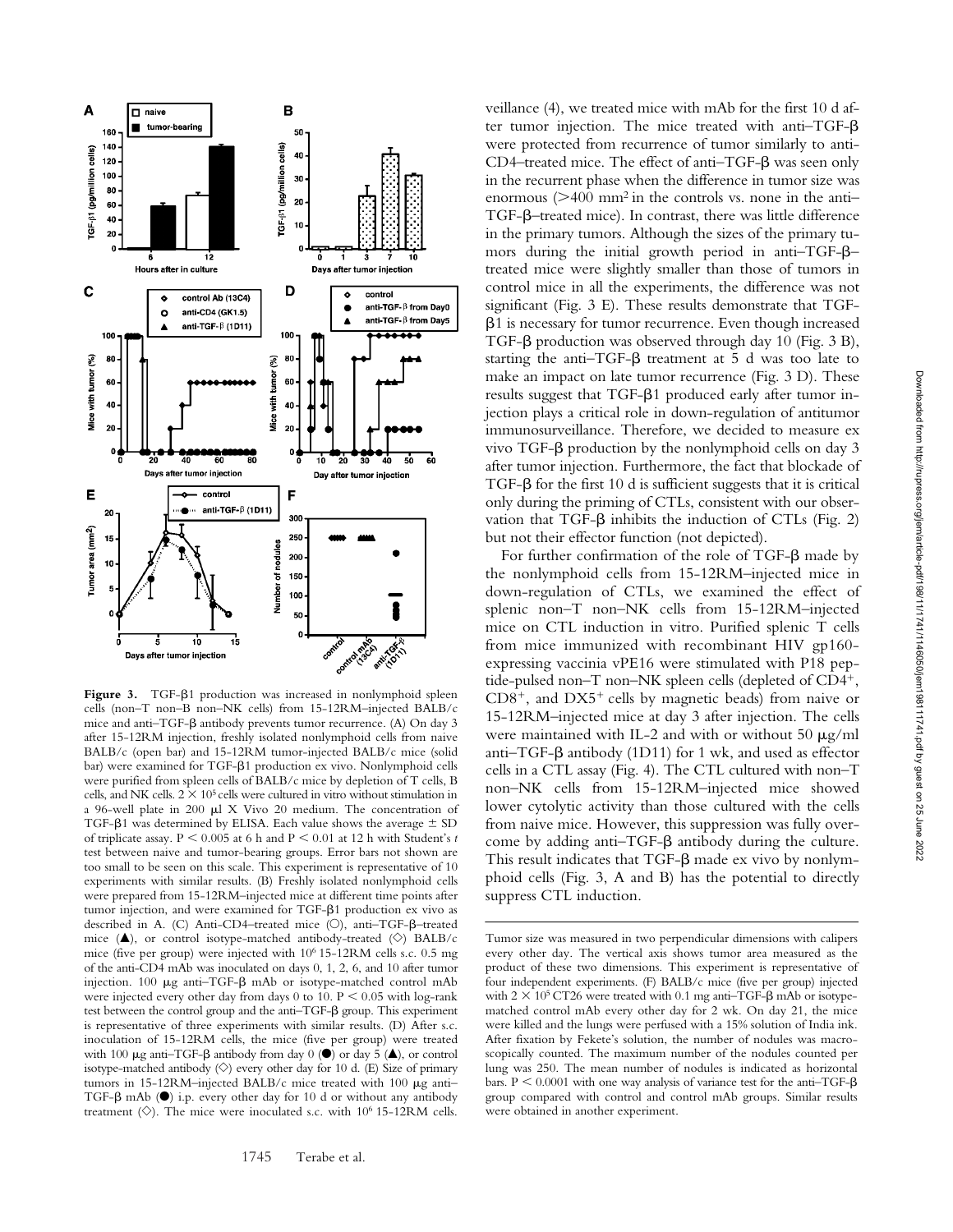

Figure 3. TGF- $\beta$ 1 production was increased in nonlymphoid spleen cells (non–T non–B non–NK cells) from 15-12RM–injected BALB/c mice and anti-TGF- $\beta$  antibody prevents tumor recurrence. (A) On day 3 after 15-12RM injection, freshly isolated nonlymphoid cells from naive BALB/c (open bar) and 15-12RM tumor-injected BALB/c mice (solid bar) were examined for TGF- $\beta$ 1 production ex vivo. Nonlymphoid cells were purified from spleen cells of BALB/c mice by depletion of T cells, B cells, and NK cells.  $2 \times 10^5$  cells were cultured in vitro without stimulation in a 96-well plate in 200  $\mu$ l X Vivo 20 medium. The concentration of TGF- $\beta$ 1 was determined by ELISA. Each value shows the average  $\pm$  SD of triplicate assay.  $P < 0.005$  at 6 h and  $P < 0.01$  at 12 h with Student's t test between naive and tumor-bearing groups. Error bars not shown are too small to be seen on this scale. This experiment is representative of 10 experiments with similar results. (B) Freshly isolated nonlymphoid cells were prepared from 15-12RM–injected mice at different time points after tumor injection, and were examined for TGF- $\beta$ 1 production ex vivo as described in A. (C) Anti-CD4-treated mice (O), anti-TGF-ß-treated mice ( $\triangle$ ), or control isotype-matched antibody-treated ( $\diamond$ ) BALB/c mice (five per group) were injected with  $10^6$  15-12RM cells s.c. 0.5 mg of the anti-CD4 mAb was inoculated on days 0, 1, 2, 6, and 10 after tumor injection. 100 µg anti-TGF- $\beta$  mAb or isotype-matched control mAb were injected every other day from days  $0$  to  $10$ .  $P < 0.05$  with log-rank test between the control group and the anti-TGF- $\beta$  group. This experiment is representative of three experiments with similar results. (D) After s.c. inoculation of 15-12RM cells, the mice (five per group) were treated with 100  $\mu$ g anti-TGF- $\beta$  antibody from day 0 ( $\bullet$ ) or day 5 ( $\blacktriangle$ ), or control isotype-matched antibody  $\langle \diamond \rangle$  every other day for 10 d. (E) Size of primary tumors in 15-12RM–injected BALB/c mice treated with 100  $\mu$ g anti-TGF- $\beta$  mAb ( $\bullet$ ) i.p. every other day for 10 d or without any antibody treatment  $(\diamondsuit)$ . The mice were inoculated s.c. with 10<sup>6</sup> 15-12RM cells.

veillance (4), we treated mice with mAb for the first 10 d after tumor injection. The mice treated with anti-TGF- $\beta$ were protected from recurrence of tumor similarly to anti- $CD4$ -treated mice. The effect of anti-TGF- $\beta$  was seen only in the recurrent phase when the difference in tumor size was enormous  $(>400 \text{ mm}^2 \text{ in the controls vs. none in the anti-}$ TGF- $\beta$ -treated mice). In contrast, there was little difference in the primary tumors. Although the sizes of the primary tumors during the initial growth period in anti-TGF- $\beta$ treated mice were slightly smaller than those of tumors in control mice in all the experiments, the difference was not significant (Fig. 3 E). These results demonstrate that TGF- -1 is necessary for tumor recurrence. Even though increased TGF- $\beta$  production was observed through day 10 (Fig. 3 B), starting the anti-TGF- $\beta$  treatment at 5 d was too late to make an impact on late tumor recurrence (Fig. 3 D). These results suggest that TGF- $\beta$ 1 produced early after tumor injection plays a critical role in down-regulation of antitumor immunosurveillance. Therefore, we decided to measure ex vivo TGF- $\beta$  production by the nonlymphoid cells on day 3 after tumor injection. Furthermore, the fact that blockade of  $TGF-\beta$  for the first 10 d is sufficient suggests that it is critical only during the priming of CTLs, consistent with our observation that TGF- $\beta$  inhibits the induction of CTLs (Fig. 2) but not their effector function (not depicted).

For further confirmation of the role of TGF- $\beta$  made by the nonlymphoid cells from 15-12RM–injected mice in down-regulation of CTLs, we examined the effect of splenic non–T non–NK cells from 15-12RM–injected mice on CTL induction in vitro. Purified splenic T cells from mice immunized with recombinant HIV gp160 expressing vaccinia vPE16 were stimulated with P18 peptide-pulsed non– $\overline{T}$  non– $\overline{NK}$  spleen cells (depleted of  $CD4^+$ ,  $CD8^+$ , and  $DX5^+$  cells by magnetic beads) from naive or 15-12RM–injected mice at day 3 after injection. The cells were maintained with IL-2 and with or without  $50 \mu g/ml$ anti–TGF- $\beta$  antibody (1D11) for 1 wk, and used as effector cells in a CTL assay (Fig. 4). The CTL cultured with non–T non–NK cells from 15-12RM–injected mice showed lower cytolytic activity than those cultured with the cells from naive mice. However, this suppression was fully overcome by adding anti-TGF- $\beta$  antibody during the culture. This result indicates that  $TGF-\beta$  made ex vivo by nonlymphoid cells (Fig. 3, A and B) has the potential to directly suppress CTL induction.

Tumor size was measured in two perpendicular dimensions with calipers every other day. The vertical axis shows tumor area measured as the product of these two dimensions. This experiment is representative of four independent experiments. (F) BALB/c mice (five per group) injected with  $2 \times 10^5$  CT26 were treated with 0.1 mg anti-TGF- $\beta$  mAb or isotypematched control mAb every other day for 2 wk. On day 21, the mice were killed and the lungs were perfused with a 15% solution of India ink. After fixation by Fekete's solution, the number of nodules was macroscopically counted. The maximum number of the nodules counted per lung was 250. The mean number of nodules is indicated as horizontal bars.  $P \le 0.0001$  with one way analysis of variance test for the anti-TGF- $\beta$ group compared with control and control mAb groups. Similar results were obtained in another experiment.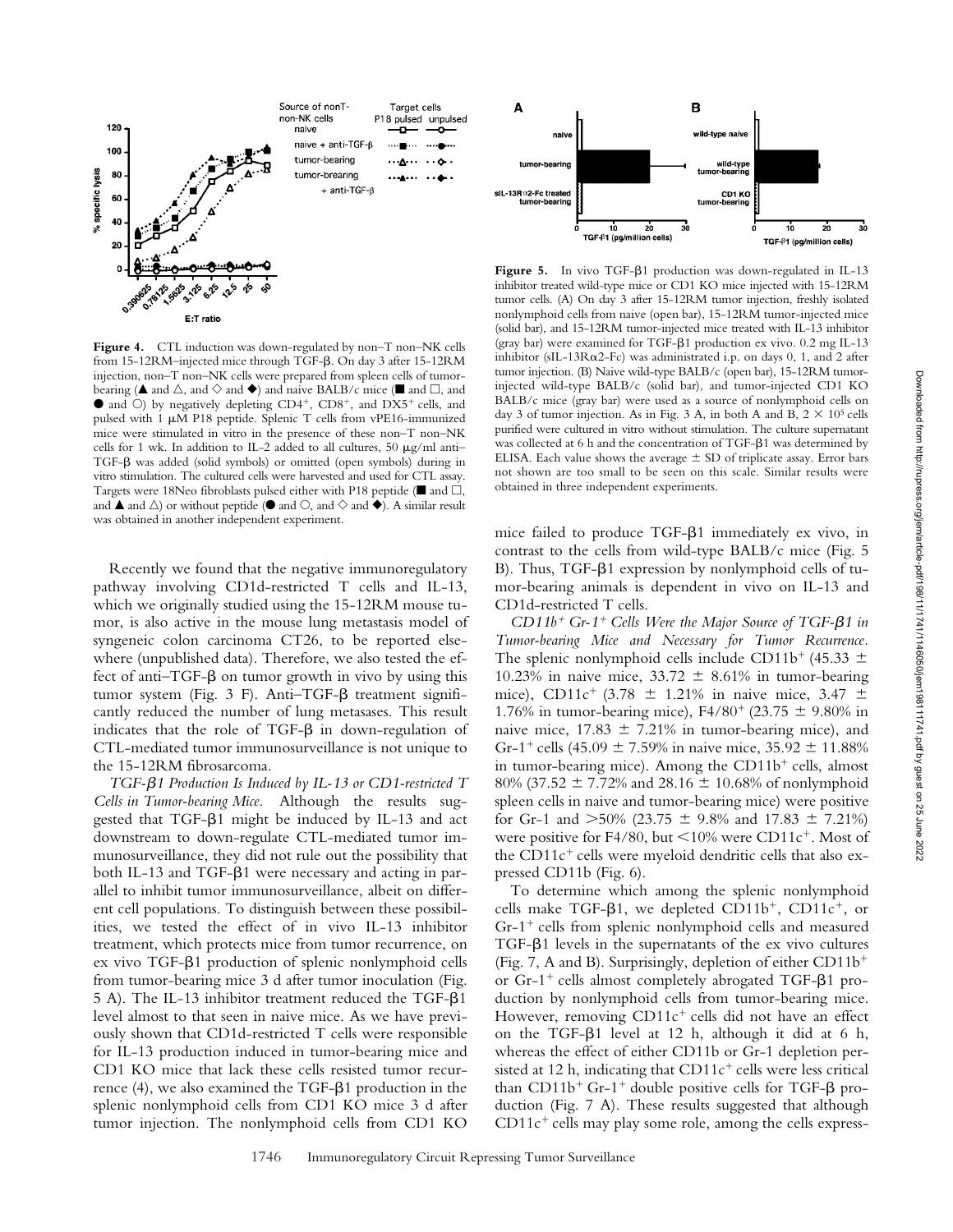Downloaded from http://rupress.org/jem/article-pdf/198/11/1741/1146050/jem198111741.pdf by guest on 25 June 2022



**Figure 4.** CTL induction was down-regulated by non–T non–NK cells from 15-12RM-injected mice through TGF- $\beta$ . On day 3 after 15-12RM injection, non–T non–NK cells were prepared from spleen cells of tumorbearing ( $\blacktriangle$  and  $\vartriangle$ , and  $\diamondsuit$  and  $\blacklozenge$ ) and naive BALB/c mice ( $\blacksquare$  and  $\Box$ , and  $\bullet$  and  $\circ$ ) by negatively depleting CD4<sup>+</sup>, CD8<sup>+</sup>, and DX5<sup>+</sup> cells, and pulsed with 1  $\mu$ M P18 peptide. Splenic T cells from vPE16-immunized mice were stimulated in vitro in the presence of these non–T non–NK cells for 1 wk. In addition to IL-2 added to all cultures, 50  $\mu$ g/ml anti-TGF- $\beta$  was added (solid symbols) or omitted (open symbols) during in vitro stimulation. The cultured cells were harvested and used for CTL assay. Targets were 18Neo fibroblasts pulsed either with P18 peptide ( $\blacksquare$  and  $\Box$ , and  $\blacktriangle$  and  $\triangle$ ) or without peptide ( $\blacktriangleright$  and  $\heartsuit$ , and  $\diamondsuit$  and  $\blacktriangleright$ ). A similar result was obtained in another independent experiment.

Recently we found that the negative immunoregulatory pathway involving CD1d-restricted T cells and IL-13, which we originally studied using the 15-12RM mouse tumor, is also active in the mouse lung metastasis model of syngeneic colon carcinoma CT26, to be reported elsewhere (unpublished data). Therefore, we also tested the effect of anti-TGF- $\beta$  on tumor growth in vivo by using this tumor system (Fig. 3 F). Anti-TGF- $\beta$  treatment significantly reduced the number of lung metasases. This result indicates that the role of TGF- $\beta$  in down-regulation of CTL-mediated tumor immunosurveillance is not unique to the 15-12RM fibrosarcoma.

TGF- $\beta$ 1 Production Is Induced by IL-13 or CD1-restricted T *Cells in Tumor-bearing Mice.* Although the results suggested that TGF- $\beta$ 1 might be induced by IL-13 and act downstream to down-regulate CTL-mediated tumor immunosurveillance, they did not rule out the possibility that both IL-13 and TGF- $\beta$ 1 were necessary and acting in parallel to inhibit tumor immunosurveillance, albeit on different cell populations. To distinguish between these possibilities, we tested the effect of in vivo IL-13 inhibitor treatment, which protects mice from tumor recurrence, on ex vivo TGF- $\beta$ 1 production of splenic nonlymphoid cells from tumor-bearing mice 3 d after tumor inoculation (Fig. 5 A). The IL-13 inhibitor treatment reduced the TGF- $\beta$ 1 level almost to that seen in naive mice. As we have previously shown that CD1d-restricted T cells were responsible for IL-13 production induced in tumor-bearing mice and CD1 KO mice that lack these cells resisted tumor recur $r$ ence (4), we also examined the TGF- $\beta$ 1 production in the splenic nonlymphoid cells from CD1 KO mice 3 d after tumor injection. The nonlymphoid cells from CD1 KO



Figure 5. In vivo TGF- $\beta$ 1 production was down-regulated in IL-13 inhibitor treated wild-type mice or CD1 KO mice injected with 15-12RM tumor cells. (A) On day 3 after 15-12RM tumor injection, freshly isolated nonlymphoid cells from naive (open bar), 15-12RM tumor-injected mice (solid bar), and 15-12RM tumor-injected mice treated with IL-13 inhibitor (gray bar) were examined for TGF- $\beta$ 1 production ex vivo. 0.2 mg IL-13 inhibitor (sIL-13R $\alpha$ 2-Fc) was administrated i.p. on days 0, 1, and 2 after tumor injection. (B) Naive wild-type BALB/c (open bar), 15-12RM tumorinjected wild-type BALB/c (solid bar), and tumor-injected CD1 KO BALB/c mice (gray bar) were used as a source of nonlymphoid cells on day 3 of tumor injection. As in Fig. 3 A, in both A and B,  $2 \times 10^5$  cells purified were cultured in vitro without stimulation. The culture supernatant was collected at 6 h and the concentration of TGF- $\beta$ 1 was determined by ELISA. Each value shows the average  $\pm$  SD of triplicate assay. Error bars not shown are too small to be seen on this scale. Similar results were obtained in three independent experiments.

mice failed to produce TGF- $\beta$ 1 immediately ex vivo, in contrast to the cells from wild-type BALB/c mice (Fig. 5 B). Thus, TGF- $\beta$ 1 expression by nonlymphoid cells of tumor-bearing animals is dependent in vivo on IL-13 and CD1d-restricted T cells.

 $CD11b^+$  Gr-1<sup>+</sup> Cells Were the Major Source of TGF- $\beta$ 1 in *Tumor-bearing Mice and Necessary for Tumor Recurrence.* The splenic nonlymphoid cells include CD11b<sup>+</sup> (45.33  $\pm$ 10.23% in naive mice,  $33.72 \pm 8.61\%$  in tumor-bearing mice), CD11c<sup>+</sup> (3.78  $\pm$  1.21% in naive mice, 3.47  $\pm$ 1.76% in tumor-bearing mice),  $F4/80^{+}$  (23.75  $\pm$  9.80% in naive mice,  $17.83 \pm 7.21\%$  in tumor-bearing mice), and Gr-1<sup>+</sup> cells (45.09  $\pm$  7.59% in naive mice, 35.92  $\pm$  11.88% in tumor-bearing mice). Among the  $CD11b<sup>+</sup>$  cells, almost 80% (37.52  $\pm$  7.72% and 28.16  $\pm$  10.68% of nonlymphoid spleen cells in naive and tumor-bearing mice) were positive for Gr-1 and  $>50\%$  (23.75  $\pm$  9.8% and 17.83  $\pm$  7.21%) were positive for F4/80, but  $\leq$ 10% were CD11c<sup>+</sup>. Most of the CD11 $c^+$  cells were myeloid dendritic cells that also expressed CD11b (Fig. 6).

To determine which among the splenic nonlymphoid cells make TGF- $\beta$ 1, we depleted CD11b<sup>+</sup>, CD11c<sup>+</sup>, or  $Gr-1^+$  cells from splenic nonlymphoid cells and measured TGF- $\beta$ 1 levels in the supernatants of the ex vivo cultures (Fig. 7, A and B). Surprisingly, depletion of either  $CD11b^+$ or Gr-1<sup>+</sup> cells almost completely abrogated TGF- $\beta$ 1 production by nonlymphoid cells from tumor-bearing mice. However, removing  $CD11c^{+}$  cells did not have an effect on the TGF- $\beta$ 1 level at 12 h, although it did at 6 h, whereas the effect of either CD11b or Gr-1 depletion persisted at 12 h, indicating that  $CD11c<sup>+</sup>$  cells were less critical than CD11b<sup>+</sup> Gr-1<sup>+</sup> double positive cells for TGF- $\beta$  production (Fig. 7 A). These results suggested that although  $CD11c<sup>+</sup>$  cells may play some role, among the cells express-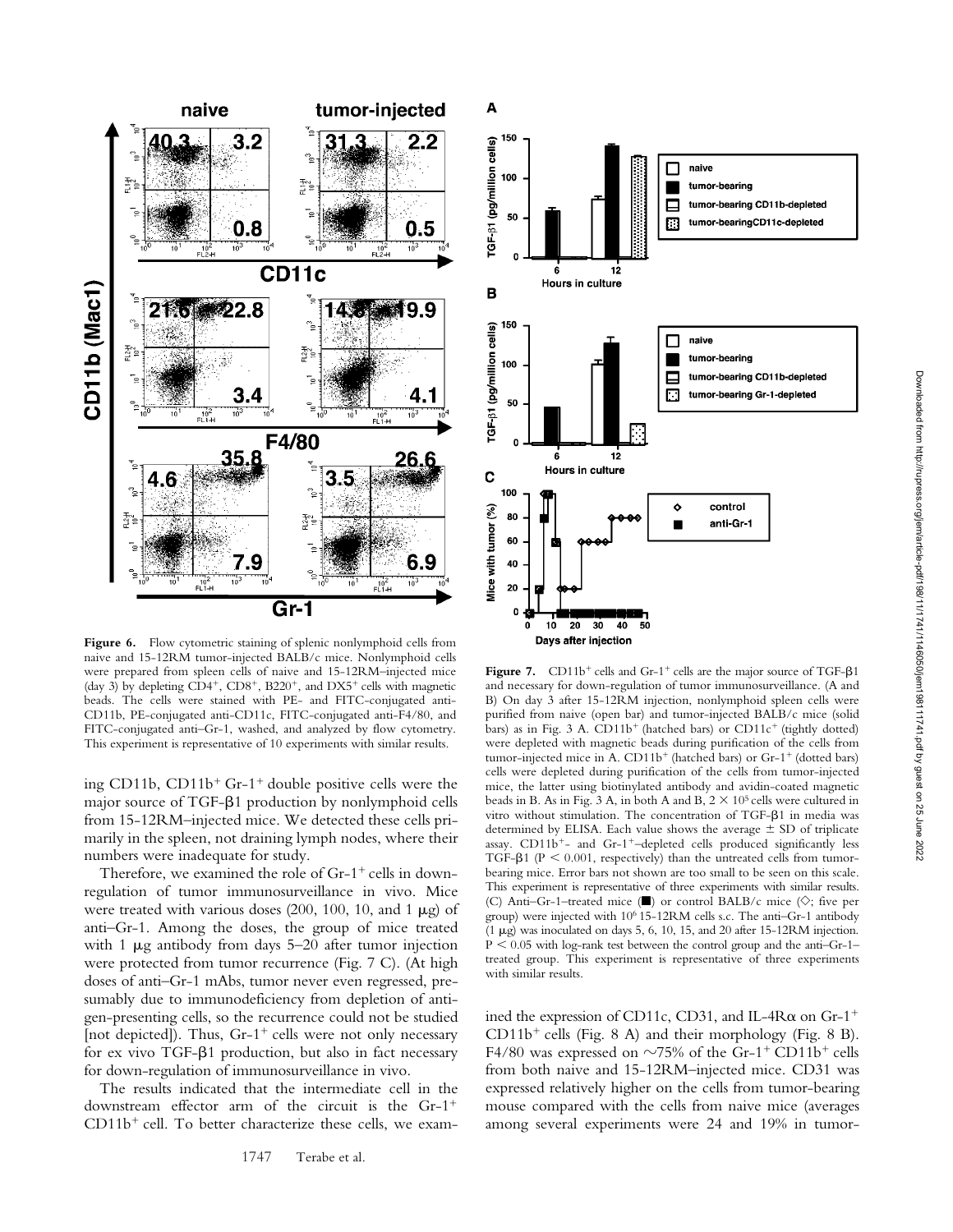

Figure 6. Flow cytometric staining of splenic nonlymphoid cells from naive and 15-12RM tumor-injected BALB/c mice. Nonlymphoid cells were prepared from spleen cells of naive and 15-12RM–injected mice (day 3) by depleting  $CD4^+$ ,  $CD8^+$ ,  $B220^+$ , and  $DX5^+$  cells with magnetic beads. The cells were stained with PE- and FITC-conjugated anti-CD11b, PE-conjugated anti-CD11c, FITC-conjugated anti-F4/80, and FITC-conjugated anti–Gr-1, washed, and analyzed by flow cytometry. This experiment is representative of 10 experiments with similar results.

ing CD11b,  $CD11b<sup>+</sup>$  Gr-1<sup>+</sup> double positive cells were the major source of TGF- $\beta$ 1 production by nonlymphoid cells from 15-12RM–injected mice. We detected these cells primarily in the spleen, not draining lymph nodes, where their numbers were inadequate for study.

Therefore, we examined the role of  $Gr-1^+$  cells in downregulation of tumor immunosurveillance in vivo. Mice were treated with various doses  $(200, 100, 10, \text{ and } 1 \mu g)$  of anti–Gr-1. Among the doses, the group of mice treated with 1  $\mu$ g antibody from days 5–20 after tumor injection were protected from tumor recurrence (Fig. 7 C). (At high doses of anti–Gr-1 mAbs, tumor never even regressed, presumably due to immunodeficiency from depletion of antigen-presenting cells, so the recurrence could not be studied [not depicted]). Thus,  $Gr-1^+$  cells were not only necessary for ex vivo TGF- $\beta$ 1 production, but also in fact necessary for down-regulation of immunosurveillance in vivo.

The results indicated that the intermediate cell in the downstream effector arm of the circuit is the Gr-1  $CD11b<sup>+</sup>$  cell. To better characterize these cells, we exam-



A

Figure 7.  $CD11b^{+}$  cells and Gr-1<sup>+</sup> cells are the major source of TGF- $\beta$ 1 and necessary for down-regulation of tumor immunosurveillance. (A and B) On day 3 after 15-12RM injection, nonlymphoid spleen cells were purified from naive (open bar) and tumor-injected BALB/c mice (solid bars) as in Fig. 3 A.  $CD11b<sup>+</sup>$  (hatched bars) or  $CD11c<sup>+</sup>$  (tightly dotted) were depleted with magnetic beads during purification of the cells from tumor-injected mice in A.  $CD11b<sup>+</sup>$  (hatched bars) or Gr-1<sup>+</sup> (dotted bars) cells were depleted during purification of the cells from tumor-injected mice, the latter using biotinylated antibody and avidin-coated magnetic beads in B. As in Fig. 3 A, in both A and B,  $2 \times 10^5$  cells were cultured in vitro without stimulation. The concentration of TGF- $\beta$ 1 in media was determined by ELISA. Each value shows the average  $\pm$  SD of triplicate assay. CD11b<sup>+</sup>- and Gr-1<sup>+</sup>-depleted cells produced significantly less TGF- $\beta$ 1 (P < 0.001, respectively) than the untreated cells from tumorbearing mice. Error bars not shown are too small to be seen on this scale. This experiment is representative of three experiments with similar results. (C) Anti-Gr-1-treated mice ( $\blacksquare$ ) or control BALB/c mice ( $\diamondsuit$ ; five per group) were injected with 106 15-12RM cells s.c. The anti–Gr-1 antibody (1  $\mu$ g) was inoculated on days 5, 6, 10, 15, and 20 after 15-12RM injection.  $P < 0.05$  with log-rank test between the control group and the anti-Gr-1treated group. This experiment is representative of three experiments with similar results.

ined the expression of CD11c, CD31, and IL-4R $\alpha$  on Gr-1<sup>+</sup>  $CD11b<sup>+</sup>$  cells (Fig. 8 A) and their morphology (Fig. 8 B). F4/80 was expressed on  $\sim$ 75% of the Gr-1<sup>+</sup> CD11b<sup>+</sup> cells from both naive and 15-12RM–injected mice. CD31 was expressed relatively higher on the cells from tumor-bearing mouse compared with the cells from naive mice (averages among several experiments were 24 and 19% in tumor-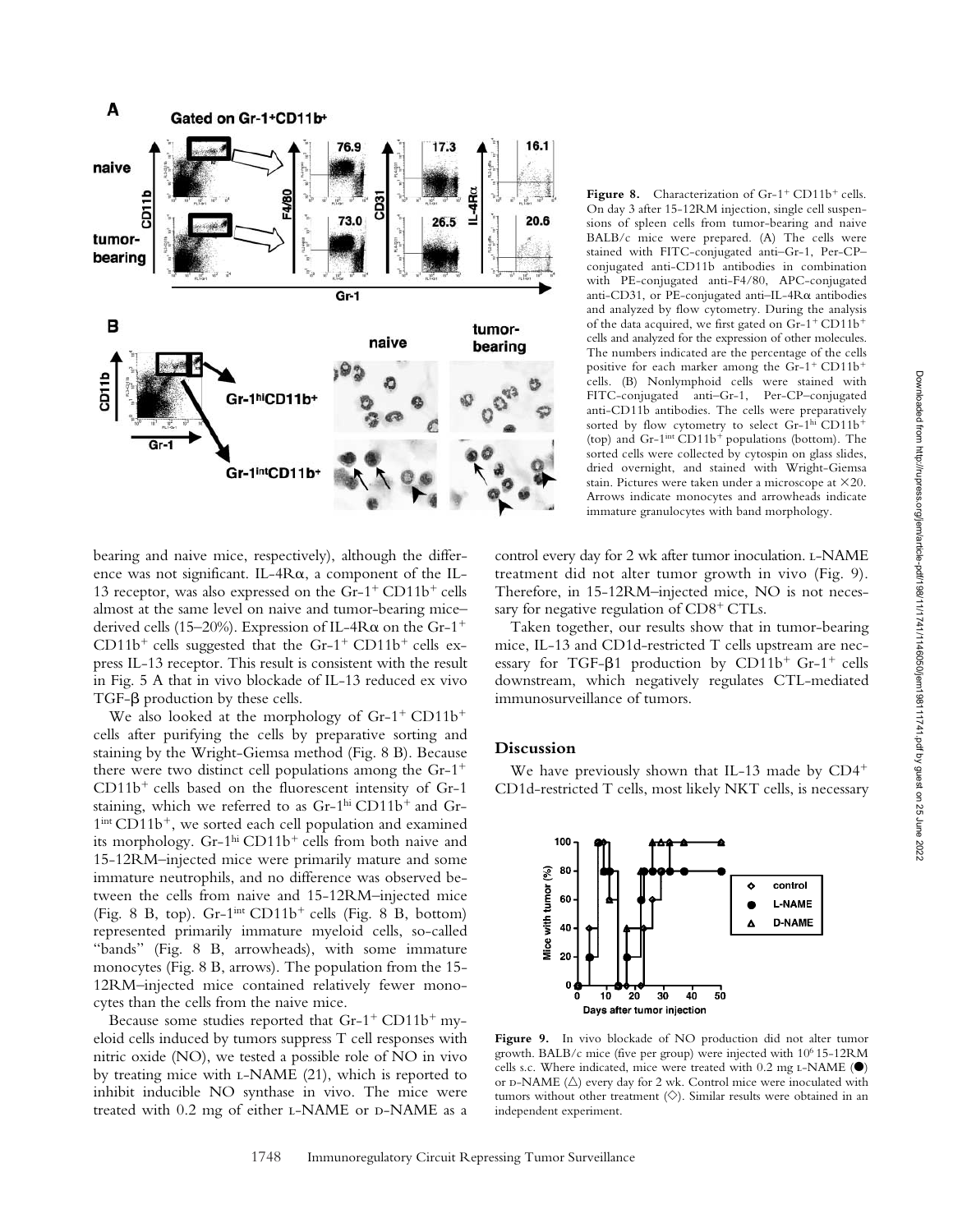

bearing and naive mice, respectively), although the difference was not significant. IL-4R $\alpha$ , a component of the IL-13 receptor, was also expressed on the  $Gr-1^+$  CD11b<sup>+</sup> cells almost at the same level on naive and tumor-bearing mice– derived cells (15–20%). Expression of IL-4R $\alpha$  on the Gr-1<sup>+</sup>  $CD11b<sup>+</sup>$  cells suggested that the Gr-1<sup>+</sup> CD11b<sup>+</sup> cells express IL-13 receptor. This result is consistent with the result in Fig. 5 A that in vivo blockade of IL-13 reduced ex vivo  $TGF-\beta$  production by these cells.

We also looked at the morphology of  $Gr-1^+$  CD11b<sup>+</sup> cells after purifying the cells by preparative sorting and staining by the Wright-Giemsa method (Fig. 8 B). Because there were two distinct cell populations among the Gr-1  $CD11b<sup>+</sup>$  cells based on the fluorescent intensity of Gr-1 staining, which we referred to as  $Gr-1<sup>hi</sup> CD11b<sup>+</sup>$  and  $Gr-1$  $1<sup>int</sup> CD11b<sup>+</sup>$ , we sorted each cell population and examined its morphology. Gr-1<sup>hi</sup> CD11b<sup>+</sup> cells from both naive and 15-12RM–injected mice were primarily mature and some immature neutrophils, and no difference was observed between the cells from naive and 15-12RM–injected mice (Fig. 8 B, top). Gr-1<sup>int</sup> CD11b<sup>+</sup> cells (Fig. 8 B, bottom) represented primarily immature myeloid cells, so-called "bands" (Fig. 8 B, arrowheads), with some immature monocytes (Fig. 8 B, arrows). The population from the 15- 12RM–injected mice contained relatively fewer monocytes than the cells from the naive mice.

Because some studies reported that  $Gr-1^+$  CD11b<sup>+</sup> myeloid cells induced by tumors suppress T cell responses with nitric oxide (NO), we tested a possible role of NO in vivo by treating mice with l-NAME (21), which is reported to inhibit inducible NO synthase in vivo. The mice were treated with 0.2 mg of either L-NAME or D-NAME as a

Figure 8. Characterization of Gr-1<sup>+</sup> CD11b<sup>+</sup> cells. On day 3 after 15-12RM injection, single cell suspensions of spleen cells from tumor-bearing and naive BALB/c mice were prepared. (A) The cells were stained with FITC-conjugated anti–Gr-1, Per-CP– conjugated anti-CD11b antibodies in combination with PE-conjugated anti-F4/80, APC-conjugated anti-CD31, or PE-conjugated anti-IL-4R $\alpha$  antibodies and analyzed by flow cytometry. During the analysis of the data acquired, we first gated on Gr-1<sup>+</sup> CD11b<sup>+</sup> cells and analyzed for the expression of other molecules. The numbers indicated are the percentage of the cells positive for each marker among the  $Gr-1^+$  CD11b<sup>+</sup> cells. (B) Nonlymphoid cells were stained with FITC-conjugated anti–Gr-1, Per-CP–conjugated anti-CD11b antibodies. The cells were preparatively sorted by flow cytometry to select Gr-1<sup>hi</sup> CD11b<sup>+</sup> (top) and  $Gr-1<sup>int</sup> CD11b<sup>+</sup> populations$  (bottom). The sorted cells were collected by cytospin on glass slides, dried overnight, and stained with Wright-Giemsa stain. Pictures were taken under a microscope at  $\times$ 20. Arrows indicate monocytes and arrowheads indicate immature granulocytes with band morphology.

control every day for 2 wk after tumor inoculation. L-NAME treatment did not alter tumor growth in vivo (Fig. 9). Therefore, in 15-12RM–injected mice, NO is not necessary for negative regulation of  $CD8<sup>+</sup> CTLs$ .

Taken together, our results show that in tumor-bearing mice, IL-13 and CD1d-restricted T cells upstream are necessary for TGF- $\beta$ 1 production by CD11b<sup>+</sup> Gr-1<sup>+</sup> cells downstream, which negatively regulates CTL-mediated immunosurveillance of tumors.

### **Discussion**

We have previously shown that IL-13 made by CD4<sup>+</sup> CD1d-restricted T cells, most likely NKT cells, is necessary



Figure 9. In vivo blockade of NO production did not alter tumor growth. BALB/c mice (five per group) were injected with 106 15-12RM cells s.c. Where indicated, mice were treated with  $0.2$  mg L-NAME ( $\bullet$ ) or D-NAME  $(\triangle)$  every day for 2 wk. Control mice were inoculated with tumors without other treatment  $(\diamondsuit)$ . Similar results were obtained in an independent experiment.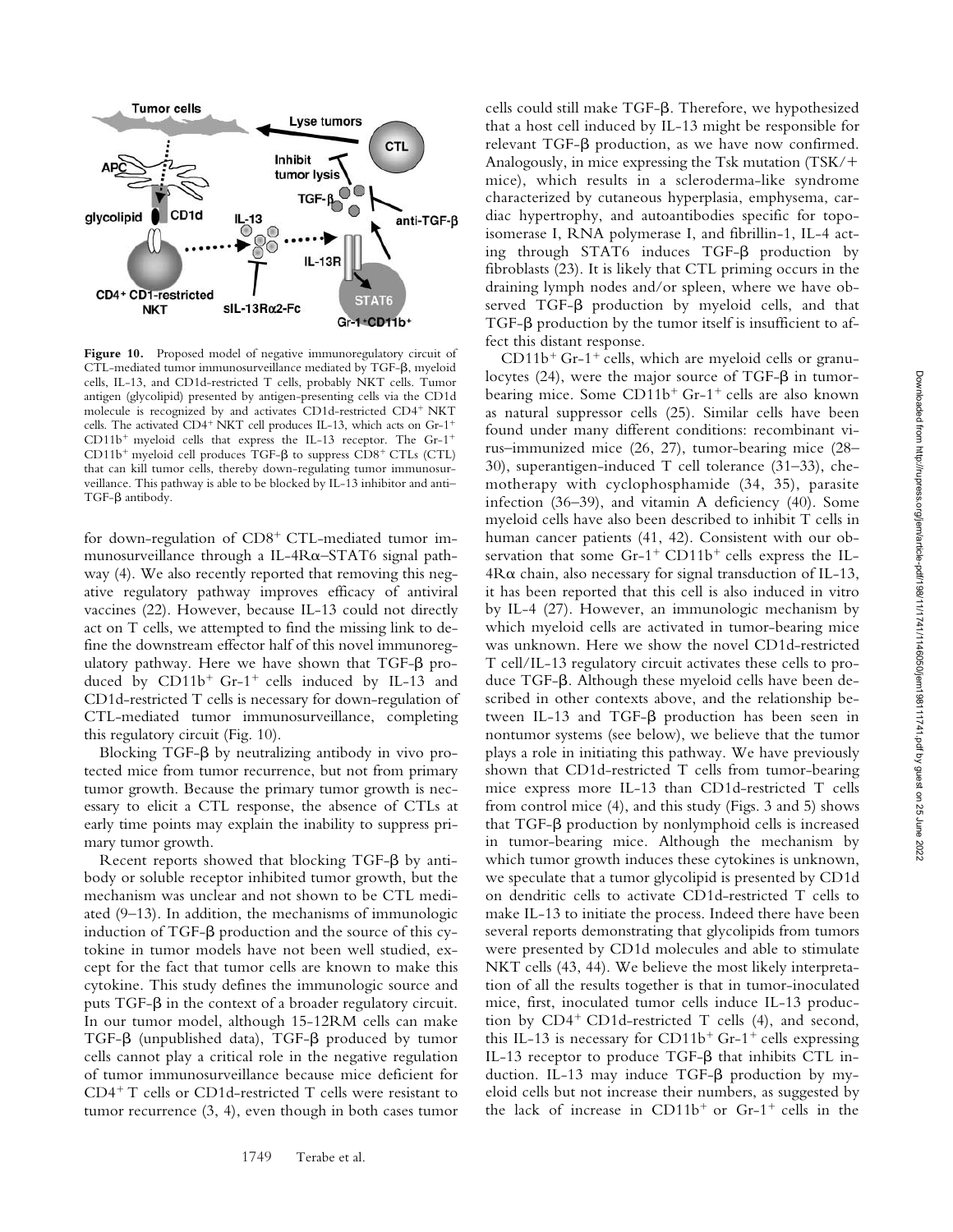

**Figure 10.** Proposed model of negative immunoregulatory circuit of CTL-mediated tumor immunosurveillance mediated by TGF- $\beta$ , myeloid cells, IL-13, and CD1d-restricted T cells, probably NKT cells. Tumor antigen (glycolipid) presented by antigen-presenting cells via the CD1d molecule is recognized by and activates CD1d-restricted CD4<sup>+</sup> NKT cells. The activated CD4<sup>+</sup> NKT cell produces IL-13, which acts on Gr-1<sup>+</sup>  $CD11b<sup>+</sup>$  myeloid cells that express the IL-13 receptor. The Gr-1<sup>+</sup>  $CD11b<sup>+</sup>$  myeloid cell produces TGF- $\beta$  to suppress  $CD8<sup>+</sup>$  CTLs (CTL) that can kill tumor cells, thereby down-regulating tumor immunosurveillance. This pathway is able to be blocked by IL-13 inhibitor and anti– TGF- $\beta$  antibody.

for down-regulation of  $CD8^+$  CTL-mediated tumor immunosurveillance through a IL-4R $\alpha$ -STAT6 signal pathway (4). We also recently reported that removing this negative regulatory pathway improves efficacy of antiviral vaccines (22). However, because IL-13 could not directly act on T cells, we attempted to find the missing link to define the downstream effector half of this novel immunoregulatory pathway. Here we have shown that  $TGF-\beta$  produced by  $CD11b^+$  Gr-1<sup>+</sup> cells induced by IL-13 and CD1d-restricted T cells is necessary for down-regulation of CTL-mediated tumor immunosurveillance, completing this regulatory circuit (Fig. 10).

Blocking TGF- $\beta$  by neutralizing antibody in vivo protected mice from tumor recurrence, but not from primary tumor growth. Because the primary tumor growth is necessary to elicit a CTL response, the absence of CTLs at early time points may explain the inability to suppress primary tumor growth.

Recent reports showed that blocking  $TGF-\beta$  by antibody or soluble receptor inhibited tumor growth, but the mechanism was unclear and not shown to be CTL mediated (9–13). In addition, the mechanisms of immunologic induction of TGF- $\beta$  production and the source of this cytokine in tumor models have not been well studied, except for the fact that tumor cells are known to make this cytokine. This study defines the immunologic source and puts TGF- $\beta$  in the context of a broader regulatory circuit. In our tumor model, although 15-12RM cells can make TGF- $\beta$  (unpublished data), TGF- $\beta$  produced by tumor cells cannot play a critical role in the negative regulation of tumor immunosurveillance because mice deficient for  $CD4+T$  cells or CD1d-restricted T cells were resistant to tumor recurrence (3, 4), even though in both cases tumor

1749 Terabe et al.

cells could still make TGF- $\beta$ . Therefore, we hypothesized that a host cell induced by IL-13 might be responsible for  $r$ elevant TGF- $\beta$  production, as we have now confirmed. Analogously, in mice expressing the Tsk mutation (TSK/ mice), which results in a scleroderma-like syndrome characterized by cutaneous hyperplasia, emphysema, cardiac hypertrophy, and autoantibodies specific for topoisomerase I, RNA polymerase I, and fibrillin-1, IL-4 acting through STAT6 induces TGF- $\beta$  production by fibroblasts (23). It is likely that CTL priming occurs in the draining lymph nodes and/or spleen, where we have ob $served TGF- $\beta$  production by myeloid cells, and that$  $TGF-\beta$  production by the tumor itself is insufficient to affect this distant response.

 $CD11b<sup>+</sup>$  Gr-1<sup>+</sup> cells, which are myeloid cells or granulocytes (24), were the major source of TGF- $\beta$  in tumorbearing mice. Some  $CD11b^+$  Gr-1<sup>+</sup> cells are also known as natural suppressor cells (25). Similar cells have been found under many different conditions: recombinant virus–immunized mice (26, 27), tumor-bearing mice (28– 30), superantigen-induced T cell tolerance (31–33), chemotherapy with cyclophosphamide (34, 35), parasite infection (36–39), and vitamin A deficiency (40). Some myeloid cells have also been described to inhibit T cells in human cancer patients (41, 42). Consistent with our observation that some  $Gr-1^+$  CD11b<sup>+</sup> cells express the IL- $4R\alpha$  chain, also necessary for signal transduction of IL-13, it has been reported that this cell is also induced in vitro by IL-4 (27). However, an immunologic mechanism by which myeloid cells are activated in tumor-bearing mice was unknown. Here we show the novel CD1d-restricted T cell/IL-13 regulatory circuit activates these cells to produce TGF- $\beta$ . Although these myeloid cells have been described in other contexts above, and the relationship between IL-13 and TGF- $\beta$  production has been seen in nontumor systems (see below), we believe that the tumor plays a role in initiating this pathway. We have previously shown that CD1d-restricted T cells from tumor-bearing mice express more IL-13 than CD1d-restricted T cells from control mice (4), and this study (Figs. 3 and 5) shows that TGF- $\beta$  production by nonlymphoid cells is increased in tumor-bearing mice. Although the mechanism by which tumor growth induces these cytokines is unknown, we speculate that a tumor glycolipid is presented by CD1d on dendritic cells to activate CD1d-restricted T cells to make IL-13 to initiate the process. Indeed there have been several reports demonstrating that glycolipids from tumors were presented by CD1d molecules and able to stimulate NKT cells (43, 44). We believe the most likely interpretation of all the results together is that in tumor-inoculated mice, first, inoculated tumor cells induce IL-13 production by  $CD4^+$  CD1d-restricted T cells (4), and second, this IL-13 is necessary for CD11b<sup>+</sup> Gr-1<sup>+</sup> cells expressing IL-13 receptor to produce TGF- $\beta$  that inhibits CTL induction. IL-13 may induce TGF- $\beta$  production by myeloid cells but not increase their numbers, as suggested by the lack of increase in  $CD11b<sup>+</sup>$  or Gr-1<sup>+</sup> cells in the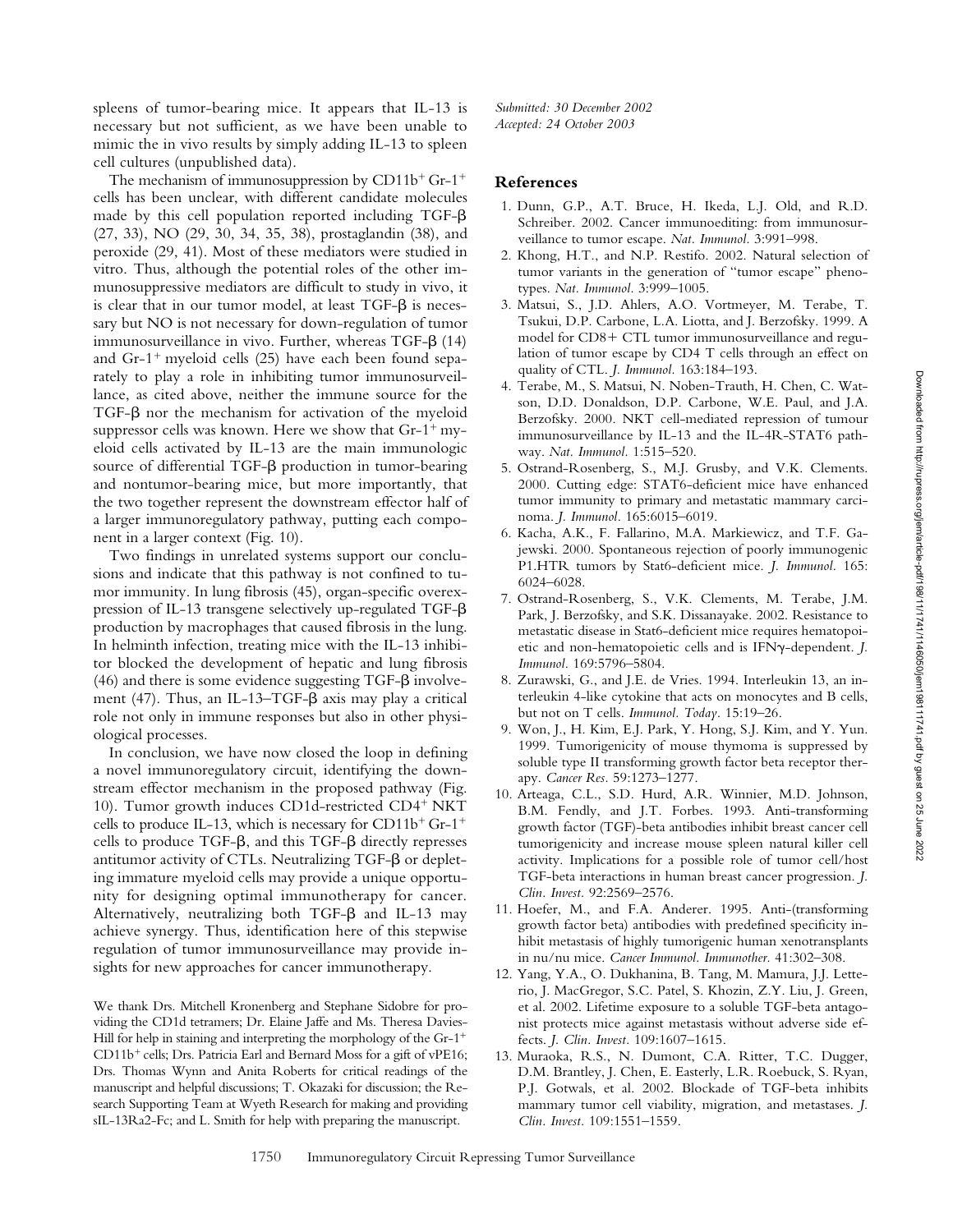spleens of tumor-bearing mice. It appears that IL-13 is necessary but not sufficient, as we have been unable to mimic the in vivo results by simply adding IL-13 to spleen cell cultures (unpublished data).

The mechanism of immunosuppression by  $CD11b^+$  Gr-1<sup>+</sup> cells has been unclear, with different candidate molecules made by this cell population reported including  $TGF-\beta$ (27, 33), NO (29, 30, 34, 35, 38), prostaglandin (38), and peroxide (29, 41). Most of these mediators were studied in vitro. Thus, although the potential roles of the other immunosuppressive mediators are difficult to study in vivo, it is clear that in our tumor model, at least TGF- $\beta$  is necessary but NO is not necessary for down-regulation of tumor immunosurveillance in vivo. Further, whereas TGF- $\beta$  (14) and  $Gr-1$ <sup>+</sup> myeloid cells (25) have each been found separately to play a role in inhibiting tumor immunosurveillance, as cited above, neither the immune source for the TGF- $\beta$  nor the mechanism for activation of the myeloid suppressor cells was known. Here we show that  $Gr-1^+$  myeloid cells activated by IL-13 are the main immunologic source of differential TGF- $\beta$  production in tumor-bearing and nontumor-bearing mice, but more importantly, that the two together represent the downstream effector half of a larger immunoregulatory pathway, putting each component in a larger context (Fig. 10).

Two findings in unrelated systems support our conclusions and indicate that this pathway is not confined to tumor immunity. In lung fibrosis (45), organ-specific overexpression of IL-13 transgene selectively up-regulated TGF- $\beta$ production by macrophages that caused fibrosis in the lung. In helminth infection, treating mice with the IL-13 inhibitor blocked the development of hepatic and lung fibrosis (46) and there is some evidence suggesting TGF- $\beta$  involvement (47). Thus, an IL-13–TGF- $\beta$  axis may play a critical role not only in immune responses but also in other physiological processes.

In conclusion, we have now closed the loop in defining a novel immunoregulatory circuit, identifying the downstream effector mechanism in the proposed pathway (Fig. 10). Tumor growth induces CD1d-restricted CD4<sup>+</sup> NKT cells to produce IL-13, which is necessary for CD11b<sup>+</sup> Gr-1<sup>+</sup> cells to produce TGF- $\beta$ , and this TGF- $\beta$  directly represses antitumor activity of CTLs. Neutralizing TGF- $\beta$  or depleting immature myeloid cells may provide a unique opportunity for designing optimal immunotherapy for cancer. Alternatively, neutralizing both TGF- $\beta$  and IL-13 may achieve synergy. Thus, identification here of this stepwise regulation of tumor immunosurveillance may provide insights for new approaches for cancer immunotherapy.

We thank Drs. Mitchell Kronenberg and Stephane Sidobre for providing the CD1d tetramers; Dr. Elaine Jaffe and Ms. Theresa Davies-Hill for help in staining and interpreting the morphology of the  $Gr-1^+$  $CD11b<sup>+</sup>$  cells; Drs. Patricia Earl and Bernard Moss for a gift of vPE16; Drs. Thomas Wynn and Anita Roberts for critical readings of the manuscript and helpful discussions; T. Okazaki for discussion; the Research Supporting Team at Wyeth Research for making and providing sIL-13Ra2-Fc; and L. Smith for help with preparing the manuscript.

*Submitted: 30 December 2002 Accepted: 24 October 2003*

## **References**

- 1. Dunn, G.P., A.T. Bruce, H. Ikeda, L.J. Old, and R.D. Schreiber. 2002. Cancer immunoediting: from immunosurveillance to tumor escape. *Nat. Immunol.* 3:991–998.
- 2. Khong, H.T., and N.P. Restifo. 2002. Natural selection of tumor variants in the generation of "tumor escape" phenotypes. *Nat. Immunol.* 3:999–1005.
- 3. Matsui, S., J.D. Ahlers, A.O. Vortmeyer, M. Terabe, T. Tsukui, D.P. Carbone, L.A. Liotta, and J. Berzofsky. 1999. A model for  $CD8+$  CTL tumor immunosurveillance and regulation of tumor escape by CD4 T cells through an effect on quality of CTL. *J. Immunol.* 163:184–193.
- 4. Terabe, M., S. Matsui, N. Noben-Trauth, H. Chen, C. Watson, D.D. Donaldson, D.P. Carbone, W.E. Paul, and J.A. Berzofsky. 2000. NKT cell-mediated repression of tumour immunosurveillance by IL-13 and the IL-4R-STAT6 pathway. *Nat. Immunol.* 1:515–520.
- 5. Ostrand-Rosenberg, S., M.J. Grusby, and V.K. Clements. 2000. Cutting edge: STAT6-deficient mice have enhanced tumor immunity to primary and metastatic mammary carcinoma. *J. Immunol.* 165:6015–6019.
- 6. Kacha, A.K., F. Fallarino, M.A. Markiewicz, and T.F. Gajewski. 2000. Spontaneous rejection of poorly immunogenic P1.HTR tumors by Stat6-deficient mice. *J. Immunol.* 165: 6024–6028.
- 7. Ostrand-Rosenberg, S., V.K. Clements, M. Terabe, J.M. Park, J. Berzofsky, and S.K. Dissanayake. 2002. Resistance to metastatic disease in Stat6-deficient mice requires hematopoietic and non-hematopoietic cells and is IFN -dependent. *J. Immunol.* 169:5796–5804.
- 8. Zurawski, G., and J.E. de Vries. 1994. Interleukin 13, an interleukin 4-like cytokine that acts on monocytes and B cells, but not on T cells. *Immunol. Today.* 15:19–26.
- 9. Won, J., H. Kim, E.J. Park, Y. Hong, S.J. Kim, and Y. Yun. 1999. Tumorigenicity of mouse thymoma is suppressed by soluble type II transforming growth factor beta receptor therapy. *Cancer Res.* 59:1273–1277.
- 10. Arteaga, C.L., S.D. Hurd, A.R. Winnier, M.D. Johnson, B.M. Fendly, and J.T. Forbes. 1993. Anti-transforming growth factor (TGF)-beta antibodies inhibit breast cancer cell tumorigenicity and increase mouse spleen natural killer cell activity. Implications for a possible role of tumor cell/host TGF-beta interactions in human breast cancer progression. *J. Clin. Invest.* 92:2569–2576.
- 11. Hoefer, M., and F.A. Anderer. 1995. Anti-(transforming growth factor beta) antibodies with predefined specificity inhibit metastasis of highly tumorigenic human xenotransplants in nu/nu mice. *Cancer Immunol. Immunother.* 41:302–308.
- 12. Yang, Y.A., O. Dukhanina, B. Tang, M. Mamura, J.J. Letterio, J. MacGregor, S.C. Patel, S. Khozin, Z.Y. Liu, J. Green, et al. 2002. Lifetime exposure to a soluble TGF-beta antagonist protects mice against metastasis without adverse side effects. *J. Clin. Invest.* 109:1607–1615.
- 13. Muraoka, R.S., N. Dumont, C.A. Ritter, T.C. Dugger, D.M. Brantley, J. Chen, E. Easterly, L.R. Roebuck, S. Ryan, P.J. Gotwals, et al. 2002. Blockade of TGF-beta inhibits mammary tumor cell viability, migration, and metastases. *J. Clin. Invest.* 109:1551–1559.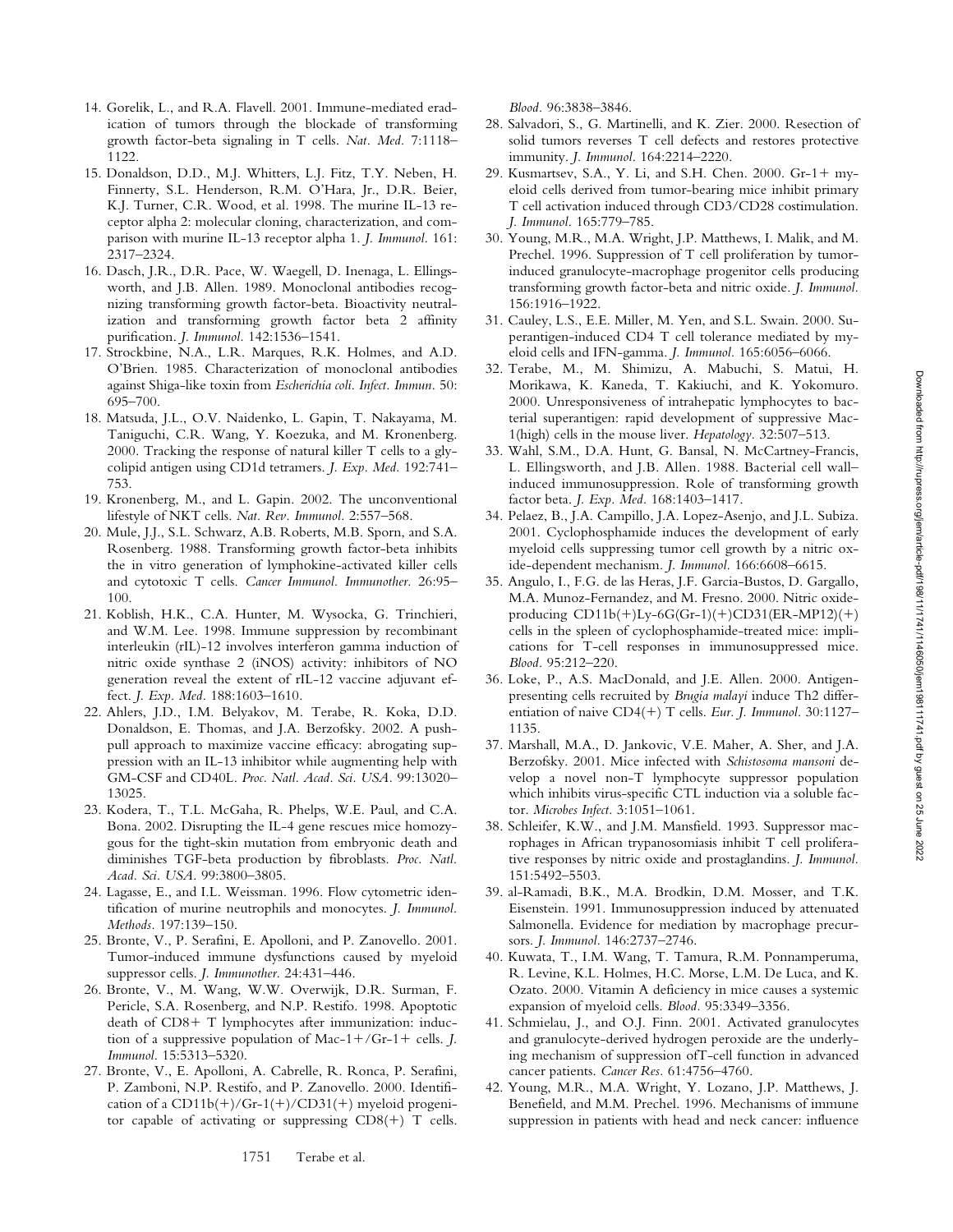- 14. Gorelik, L., and R.A. Flavell. 2001. Immune-mediated eradication of tumors through the blockade of transforming growth factor-beta signaling in T cells. *Nat. Med.* 7:1118– 1122.
- 15. Donaldson, D.D., M.J. Whitters, L.J. Fitz, T.Y. Neben, H. Finnerty, S.L. Henderson, R.M. O'Hara, Jr., D.R. Beier, K.J. Turner, C.R. Wood, et al. 1998. The murine IL-13 receptor alpha 2: molecular cloning, characterization, and comparison with murine IL-13 receptor alpha 1. *J. Immunol.* 161: 2317–2324.
- 16. Dasch, J.R., D.R. Pace, W. Waegell, D. Inenaga, L. Ellingsworth, and J.B. Allen. 1989. Monoclonal antibodies recognizing transforming growth factor-beta. Bioactivity neutralization and transforming growth factor beta 2 affinity purification. *J. Immunol.* 142:1536–1541.
- 17. Strockbine, N.A., L.R. Marques, R.K. Holmes, and A.D. O'Brien. 1985. Characterization of monoclonal antibodies against Shiga-like toxin from *Escherichia coli*. *Infect. Immun.* 50: 695–700.
- 18. Matsuda, J.L., O.V. Naidenko, L. Gapin, T. Nakayama, M. Taniguchi, C.R. Wang, Y. Koezuka, and M. Kronenberg. 2000. Tracking the response of natural killer T cells to a glycolipid antigen using CD1d tetramers. *J. Exp. Med.* 192:741– 753.
- 19. Kronenberg, M., and L. Gapin. 2002. The unconventional lifestyle of NKT cells. *Nat. Rev. Immunol.* 2:557–568.
- 20. Mule, J.J., S.L. Schwarz, A.B. Roberts, M.B. Sporn, and S.A. Rosenberg. 1988. Transforming growth factor-beta inhibits the in vitro generation of lymphokine-activated killer cells and cytotoxic T cells. *Cancer Immunol. Immunother.* 26:95– 100.
- 21. Koblish, H.K., C.A. Hunter, M. Wysocka, G. Trinchieri, and W.M. Lee. 1998. Immune suppression by recombinant interleukin (rIL)-12 involves interferon gamma induction of nitric oxide synthase 2 (iNOS) activity: inhibitors of NO generation reveal the extent of rIL-12 vaccine adjuvant effect. *J. Exp. Med.* 188:1603–1610.
- 22. Ahlers, J.D., I.M. Belyakov, M. Terabe, R. Koka, D.D. Donaldson, E. Thomas, and J.A. Berzofsky. 2002. A pushpull approach to maximize vaccine efficacy: abrogating suppression with an IL-13 inhibitor while augmenting help with GM-CSF and CD40L. *Proc. Natl. Acad. Sci. USA.* 99:13020– 13025.
- 23. Kodera, T., T.L. McGaha, R. Phelps, W.E. Paul, and C.A. Bona. 2002. Disrupting the IL-4 gene rescues mice homozygous for the tight-skin mutation from embryonic death and diminishes TGF-beta production by fibroblasts. *Proc. Natl. Acad. Sci. USA.* 99:3800–3805.
- 24. Lagasse, E., and I.L. Weissman. 1996. Flow cytometric identification of murine neutrophils and monocytes. *J. Immunol. Methods.* 197:139–150.
- 25. Bronte, V., P. Serafini, E. Apolloni, and P. Zanovello. 2001. Tumor-induced immune dysfunctions caused by myeloid suppressor cells. *J. Immunother.* 24:431–446.
- 26. Bronte, V., M. Wang, W.W. Overwijk, D.R. Surman, F. Pericle, S.A. Rosenberg, and N.P. Restifo. 1998. Apoptotic death of  $CD8+T$  lymphocytes after immunization: induction of a suppressive population of Mac- $1 + /$ Gr- $1 +$  cells. *J. Immunol.* 15:5313–5320.
- 27. Bronte, V., E. Apolloni, A. Cabrelle, R. Ronca, P. Serafini, P. Zamboni, N.P. Restifo, and P. Zanovello. 2000. Identification of a  $CD11b(+)/Gr-1(+)/CD31(+)$  myeloid progenitor capable of activating or suppressing  $CD8(+)$  T cells.

*Blood.* 96:3838–3846.

- 28. Salvadori, S., G. Martinelli, and K. Zier. 2000. Resection of solid tumors reverses T cell defects and restores protective immunity. *J. Immunol.* 164:2214–2220.
- 29. Kusmartsev, S.A., Y. Li, and S.H. Chen. 2000. Gr-1+ myeloid cells derived from tumor-bearing mice inhibit primary T cell activation induced through CD3/CD28 costimulation. *J. Immunol.* 165:779–785.
- 30. Young, M.R., M.A. Wright, J.P. Matthews, I. Malik, and M. Prechel. 1996. Suppression of T cell proliferation by tumorinduced granulocyte-macrophage progenitor cells producing transforming growth factor-beta and nitric oxide. *J. Immunol.* 156:1916–1922.
- 31. Cauley, L.S., E.E. Miller, M. Yen, and S.L. Swain. 2000. Superantigen-induced CD4 T cell tolerance mediated by myeloid cells and IFN-gamma. *J. Immunol.* 165:6056–6066.
- 32. Terabe, M., M. Shimizu, A. Mabuchi, S. Matui, H. Morikawa, K. Kaneda, T. Kakiuchi, and K. Yokomuro. 2000. Unresponsiveness of intrahepatic lymphocytes to bacterial superantigen: rapid development of suppressive Mac-1(high) cells in the mouse liver. *Hepatology.* 32:507–513.
- 33. Wahl, S.M., D.A. Hunt, G. Bansal, N. McCartney-Francis, L. Ellingsworth, and J.B. Allen. 1988. Bacterial cell wall– induced immunosuppression. Role of transforming growth factor beta. *J. Exp. Med.* 168:1403–1417.
- 34. Pelaez, B., J.A. Campillo, J.A. Lopez-Asenjo, and J.L. Subiza. 2001. Cyclophosphamide induces the development of early myeloid cells suppressing tumor cell growth by a nitric oxide-dependent mechanism. *J. Immunol.* 166:6608–6615.
- 35. Angulo, I., F.G. de las Heras, J.F. Garcia-Bustos, D. Gargallo, M.A. Munoz-Fernandez, and M. Fresno. 2000. Nitric oxideproducing  $CD11b(+)Ly-6G(Gr-1)(+)CD31(ER-MP12)(+)$ cells in the spleen of cyclophosphamide-treated mice: implications for T-cell responses in immunosuppressed mice. *Blood.* 95:212–220.
- 36. Loke, P., A.S. MacDonald, and J.E. Allen. 2000. Antigenpresenting cells recruited by *Brugia malayi* induce Th2 differentiation of naive CD4(+) T cells. *Eur. J. Immunol.* 30:1127-1135.
- 37. Marshall, M.A., D. Jankovic, V.E. Maher, A. Sher, and J.A. Berzofsky. 2001. Mice infected with *Schistosoma mansoni* develop a novel non-T lymphocyte suppressor population which inhibits virus-specific CTL induction via a soluble factor. *Microbes Infect.* 3:1051–1061.
- 38. Schleifer, K.W., and J.M. Mansfield. 1993. Suppressor macrophages in African trypanosomiasis inhibit T cell proliferative responses by nitric oxide and prostaglandins. *J. Immunol.* 151:5492–5503.
- 39. al-Ramadi, B.K., M.A. Brodkin, D.M. Mosser, and T.K. Eisenstein. 1991. Immunosuppression induced by attenuated Salmonella. Evidence for mediation by macrophage precursors. *J. Immunol.* 146:2737–2746.
- 40. Kuwata, T., I.M. Wang, T. Tamura, R.M. Ponnamperuma, R. Levine, K.L. Holmes, H.C. Morse, L.M. De Luca, and K. Ozato. 2000. Vitamin A deficiency in mice causes a systemic expansion of myeloid cells. *Blood.* 95:3349–3356.
- 41. Schmielau, J., and O.J. Finn. 2001. Activated granulocytes and granulocyte-derived hydrogen peroxide are the underlying mechanism of suppression ofT-cell function in advanced cancer patients. *Cancer Res.* 61:4756–4760.
- 42. Young, M.R., M.A. Wright, Y. Lozano, J.P. Matthews, J. Benefield, and M.M. Prechel. 1996. Mechanisms of immune suppression in patients with head and neck cancer: influence

1751 Terabe et al.